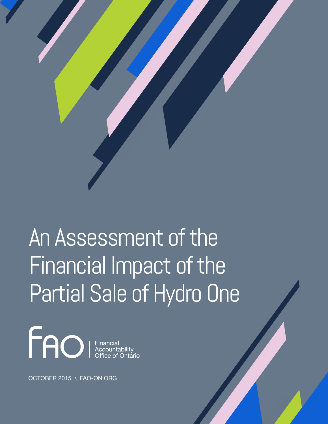

# An Assessment of the Financial Impact of the Partial Sale of Hydro One



OCTOBER 2015 \ FAO-ON.ORG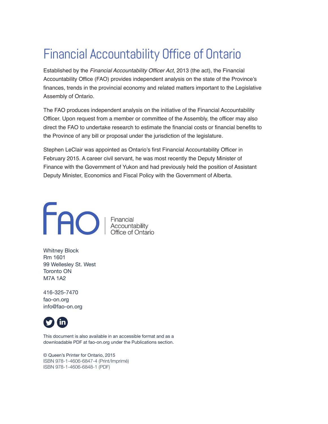# Financial Accountability Office of Ontario

Established by the *Financial Accountability Officer Act*, 2013 (the act), the Financial Accountability Office (FAO) provides independent analysis on the state of the Province's finances, trends in the provincial economy and related matters important to the Legislative Assembly of Ontario.

The FAO produces independent analysis on the initiative of the Financial Accountability Officer. Upon request from a member or committee of the Assembly, the officer may also direct the FAO to undertake research to estimate the financial costs or financial benefits to the Province of any bill or proposal under the jurisdiction of the legislature.

Stephen LeClair was appointed as Ontario's first Financial Accountability Officer in February 2015. A career civil servant, he was most recently the Deputy Minister of Finance with the Government of Yukon and had previously held the position of Assistant Deputy Minister, Economics and Fiscal Policy with the Government of Alberta.



Whitney Block Rm 1601 99 Wellesley St. West Toronto ON M7A 1A2

416-325-7470 fao-on.org info@fao-on.org



This document is also available in an accessible format and as a downloadable PDF at fao-on.org under the Publications section.

© Queen's Printer for Ontario, 2015 ISBN 978-1-4606-6847-4 (Print/Imprimé) ISBN 978-1-4606-6848-1 (PDF)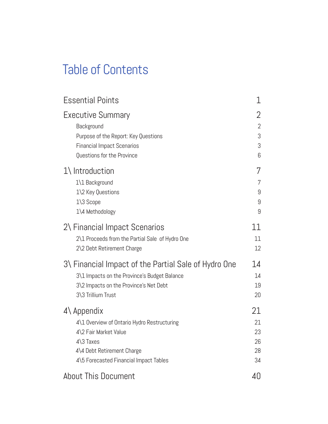# Table of Contents

| <b>Essential Points</b>                                                                           | 1                |
|---------------------------------------------------------------------------------------------------|------------------|
| Executive Summary                                                                                 | 2                |
| Background                                                                                        | 2                |
| Purpose of the Report: Key Questions                                                              | 3                |
| <b>Financial Impact Scenarios</b>                                                                 | 3                |
| Questions for the Province                                                                        | 6                |
| $1\backslash$ Introduction<br>1\1 Background<br>1\2 Key Questions<br>1\3 Scope<br>1\4 Methodology | 7<br>9<br>9<br>9 |
| 2\ Financial Impact Scenarios                                                                     | 11               |
| 2\1 Proceeds from the Partial Sale of Hydro One                                                   | 11               |
| 2\2 Debt Retirement Charge                                                                        | 12               |
| 3\ Financial Impact of the Partial Sale of Hydro One                                              | 14               |
| 3\1 Impacts on the Province's Budget Balance                                                      | 14               |
| 3\2 Impacts on the Province's Net Debt                                                            | 19               |
| 3\3 Trillium Trust                                                                                | 20               |
| $4\lambda$ Appendix                                                                               | 21               |
| 4\1 Overview of Ontario Hydro Restructuring                                                       | 21               |
| 4\2 Fair Market Value                                                                             | 23               |
| $4\$ 3 Taxes                                                                                      | 26               |
| 4\4 Debt Retirement Charge                                                                        | 28               |
| 4\5 Forecasted Financial Impact Tables                                                            | 34               |
| <b>About This Document</b>                                                                        | 40               |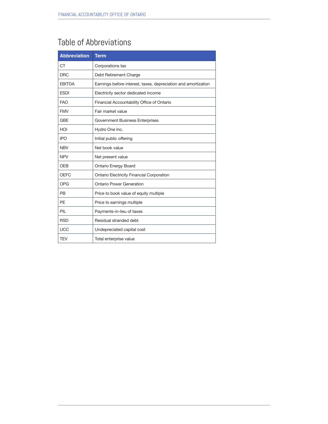# Table of Abbreviations

| <b>Abbreviation</b> | <b>Term</b>                                                    |
|---------------------|----------------------------------------------------------------|
| <b>CT</b>           | Corporations tax                                               |
| <b>DRC</b>          | Debt Retirement Charge                                         |
| <b>EBITDA</b>       | Earnings before interest, taxes, depreciation and amortization |
| <b>ESDI</b>         | Electricity sector dedicated income                            |
| <b>FAO</b>          | Financial Accountability Office of Ontario                     |
| <b>FMV</b>          | Fair market value                                              |
| <b>GBE</b>          | Government Business Enterprises                                |
| HOI                 | Hydro One Inc.                                                 |
| <b>IPO</b>          | Initial public offering                                        |
| <b>NBV</b>          | Net book value                                                 |
| <b>NPV</b>          | Net present value                                              |
| OEB                 | <b>Ontario Energy Board</b>                                    |
| <b>OEFC</b>         | Ontario Electricity Financial Corporation                      |
| <b>OPG</b>          | Ontario Power Generation                                       |
| <b>PB</b>           | Price to book value of equity multiple                         |
| PF                  | Price to earnings multiple                                     |
| PIL                 | Payments-in-lieu of taxes                                      |
| <b>RSD</b>          | Residual stranded debt                                         |
| <b>UCC</b>          | Undepreciated capital cost                                     |
| <b>TEV</b>          | Total enterprise value                                         |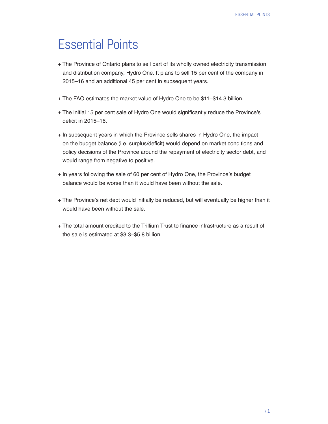# Essential Points

- + The Province of Ontario plans to sell part of its wholly owned electricity transmission and distribution company, Hydro One. It plans to sell 15 per cent of the company in 2015–16 and an additional 45 per cent in subsequent years.
- + The FAO estimates the market value of Hydro One to be \$11–\$14.3 billion.
- + The initial 15 per cent sale of Hydro One would significantly reduce the Province's deficit in 2015–16.
- + In subsequent years in which the Province sells shares in Hydro One, the impact on the budget balance (i.e. surplus/deficit) would depend on market conditions and policy decisions of the Province around the repayment of electricity sector debt, and would range from negative to positive.
- + In years following the sale of 60 per cent of Hydro One, the Province's budget balance would be worse than it would have been without the sale.
- + The Province's net debt would initially be reduced, but will eventually be higher than it would have been without the sale.
- + The total amount credited to the Trillium Trust to finance infrastructure as a result of the sale is estimated at \$3.3–\$5.8 billion.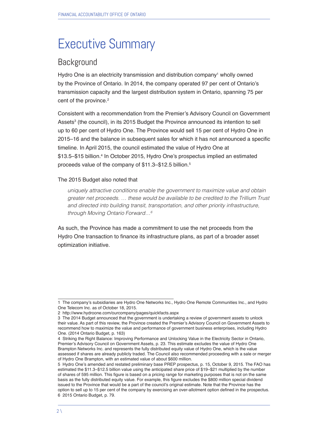# Executive Summary

# **Background**

Hydro One is an electricity transmission and distribution company<sup>1</sup> wholly owned by the Province of Ontario. In 2014, the company operated 97 per cent of Ontario's transmission capacity and the largest distribution system in Ontario, spanning 75 per cent of the province.<sup>2</sup>

Consistent with a recommendation from the Premier's Advisory Council on Government Assets<sup>3</sup> (the council), in its 2015 Budget the Province announced its intention to sell up to 60 per cent of Hydro One. The Province would sell 15 per cent of Hydro One in 2015–16 and the balance in subsequent sales for which it has not announced a specific timeline. In April 2015, the council estimated the value of Hydro One at \$13.5–\$15 billion.4 In October 2015, Hydro One's prospectus implied an estimated proceeds value of the company of \$11.3-\$12.5 billion.<sup>5</sup>

#### The 2015 Budget also noted that

uniquely attractive conditions enable the government to maximize value and obtain greater net proceeds. … these would be available to be credited to the Trillium Trust and directed into building transit, transportation, and other priority infrastructure, through Moving Ontario Forward…6

As such, the Province has made a commitment to use the net proceeds from the Hydro One transaction to finance its infrastructure plans, as part of a broader asset optimization initiative.

<sup>1</sup> The company's subsidiaries are Hydro One Networks Inc., Hydro One Remote Communities Inc., and Hydro One Telecom Inc. as of October 18, 2015.

<sup>2</sup> http://www.hydroone.com/ourcompany/pages/quickfacts.aspx

<sup>3</sup> The 2014 Budget announced that the government is undertaking a review of government assets to unlock their value. As part of this review, the Province created the Premier's Advisory Council on Government Assets to recommend how to maximize the value and performance of government business enterprises, including Hydro One. (2014 Ontario Budget, p. 163)

<sup>4</sup> Striking the Right Balance: Improving Performance and Unlocking Value in the Electricity Sector in Ontario, Premier's Advisory Council on Government Assets, p. 23. This estimate excludes the value of Hydro One Brampton Networks Inc. and represents the fully distributed equity value of Hydro One, which is the value assessed if shares are already publicly traded. The Council also recommended proceeding with a sale or merger of Hydro One Brampton, with an estimated value of about \$600 million.

<sup>5</sup> Hydro One's amended and restated preliminary base PREP prospectus, p. 15, October 9, 2015. The FAO has estimated the \$11.3–\$12.5 billion value using the anticipated share price of \$19–\$21 multiplied by the number of shares of 595 million. This figure is based on a pricing range for marketing purposes that is not on the same basis as the fully distributed equity value. For example, this figure excludes the \$800 million special dividend issued to the Province that would be a part of the council's original estimate. Note that the Province has the option to sell up to 15 per cent of the company by exercising an over-allotment option defined in the prospectus. 6 2015 Ontario Budget, p. 79.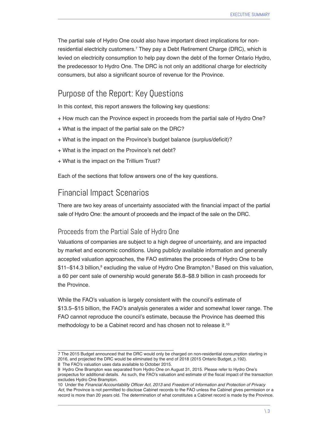The partial sale of Hydro One could also have important direct implications for nonresidential electricity customers.7 They pay a Debt Retirement Charge (DRC), which is levied on electricity consumption to help pay down the debt of the former Ontario Hydro, the predecessor to Hydro One. The DRC is not only an additional charge for electricity consumers, but also a significant source of revenue for the Province.

# Purpose of the Report: Key Questions

In this context, this report answers the following key questions:

- + How much can the Province expect in proceeds from the partial sale of Hydro One?
- + What is the impact of the partial sale on the DRC?
- + What is the impact on the Province's budget balance (surplus/deficit)?
- + What is the impact on the Province's net debt?
- + What is the impact on the Trillium Trust?

Each of the sections that follow answers one of the key questions.

### Financial Impact Scenarios

There are two key areas of uncertainty associated with the financial impact of the partial sale of Hydro One: the amount of proceeds and the impact of the sale on the DRC.

#### Proceeds from the Partial Sale of Hydro One

Valuations of companies are subject to a high degree of uncertainty, and are impacted by market and economic conditions. Using publicly available information and generally accepted valuation approaches, the FAO estimates the proceeds of Hydro One to be \$11–\$14.3 billion,<sup>s</sup> excluding the value of Hydro One Brampton.<sup>9</sup> Based on this valuation, a 60 per cent sale of ownership would generate \$6.8–\$8.9 billion in cash proceeds for the Province.

While the FAO's valuation is largely consistent with the council's estimate of \$13.5–\$15 billion, the FAO's analysis generates a wider and somewhat lower range. The FAO cannot reproduce the council's estimate, because the Province has deemed this methodology to be a Cabinet record and has chosen not to release it.<sup>10</sup>

<sup>7</sup> The 2015 Budget announced that the DRC would only be charged on non-residential consumption starting in 2016, and projected the DRC would be eliminated by the end of 2018 (2015 Ontario Budget, p.192). 8 The FAO's valuation uses data available to October 2015.

<sup>9</sup> Hydro One Brampton was separated from Hydro One on August 31, 2015. Please refer to Hydro One's prospectus for additional details. As such, the FAO's valuation and estimate of the fiscal impact of the transaction excludes Hydro One Brampton.

<sup>10</sup> Under the Financial Accountability Officer Act, 2013 and *Freedom of Information and Protection of Privacy Act*, the Province is not permitted to disclose Cabinet records to the FAO unless the Cabinet gives permission or a record is more than 20 years old. The determination of what constitutes a Cabinet record is made by the Province.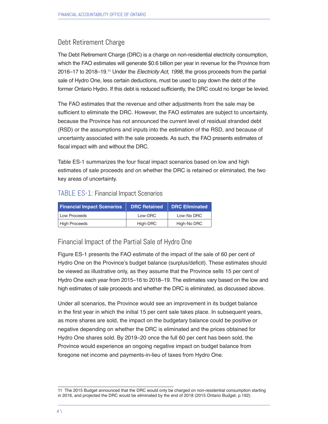#### Debt Retirement Charge

The Debt Retirement Charge (DRC) is a charge on non-residential electricity consumption, which the FAO estimates will generate \$0.6 billion per year in revenue for the Province from 2016–17 to 2018–19.<sup>11</sup> Under the *Electricity Act, 1998*, the gross proceeds from the partial sale of Hydro One, less certain deductions, must be used to pay down the debt of the former Ontario Hydro. If this debt is reduced sufficiently, the DRC could no longer be levied.

The FAO estimates that the revenue and other adjustments from the sale may be sufficient to eliminate the DRC. However, the FAO estimates are subject to uncertainty, because the Province has not announced the current level of residual stranded debt (RSD) or the assumptions and inputs into the estimation of the RSD, and because of uncertainty associated with the sale proceeds. As such, the FAO presents estimates of fiscal impact with and without the DRC.

Table ES-1 summarizes the four fiscal impact scenarios based on low and high estimates of sale proceeds and on whether the DRC is retained or eliminated, the two key areas of uncertainty.

#### TABLE ES-1: Financial Impact Scenarios

| <b>Financial Impact Scenarios</b> | <b>DRC Retained</b> | <b>DRC Eliminated</b> |
|-----------------------------------|---------------------|-----------------------|
| Low Proceeds                      | Low-DRC             | Low-No DRC            |
| High Proceeds                     | High-DRC            | High-No DRC           |

#### Financial Impact of the Partial Sale of Hydro One

Figure ES-1 presents the FAO estimate of the impact of the sale of 60 per cent of Hydro One on the Province's budget balance (surplus/deficit). These estimates should be viewed as illustrative only, as they assume that the Province sells 15 per cent of Hydro One each year from 2015–16 to 2018–19. The estimates vary based on the low and high estimates of sale proceeds and whether the DRC is eliminated, as discussed above.

Under all scenarios, the Province would see an improvement in its budget balance in the first year in which the initial 15 per cent sale takes place. In subsequent years, as more shares are sold, the impact on the budgetary balance could be positive or negative depending on whether the DRC is eliminated and the prices obtained for Hydro One shares sold. By 2019–20 once the full 60 per cent has been sold, the Province would experience an ongoing negative impact on budget balance from foregone net income and payments-in-lieu of taxes from Hydro One.

<sup>11</sup> The 2015 Budget announced that the DRC would only be charged on non-residential consumption starting in 2016, and projected the DRC would be eliminated by the end of 2018 (2015 Ontario Budget, p.192).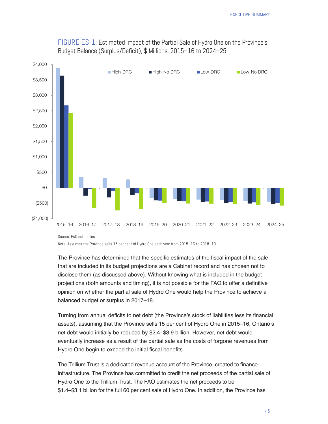

FIGURE ES-1: Estimated Impact of the Partial Sale of Hydro One on the Province's Budget Balance (Surplus/Deficit), \$ Millions, 2015–16 to 2024–25

Note: Assumes the Province sells 15 per cent of Hydro One each year from 2015–16 to 2018–19.

The Province has determined that the specific estimates of the fiscal impact of the sale that are included in its budget projections are a Cabinet record and has chosen not to disclose them (as discussed above). Without knowing what is included in the budget projections (both amounts and timing), it is not possible for the FAO to offer a definitive opinion on whether the partial sale of Hydro One would help the Province to achieve a balanced budget or surplus in 2017–18.

Turning from annual deficits to net debt (the Province's stock of liabilities less its financial assets), assuming that the Province sells 15 per cent of Hydro One in 2015–16, Ontario's net debt would initially be reduced by \$2.4–\$3.9 billion. However, net debt would eventually increase as a result of the partial sale as the costs of forgone revenues from Hydro One begin to exceed the initial fiscal benefits.

The Trillium Trust is a dedicated revenue account of the Province, created to finance infrastructure. The Province has committed to credit the net proceeds of the partial sale of Hydro One to the Trillium Trust. The FAO estimates the net proceeds to be \$1.4–\$3.1 billion for the full 60 per cent sale of Hydro One. In addition, the Province has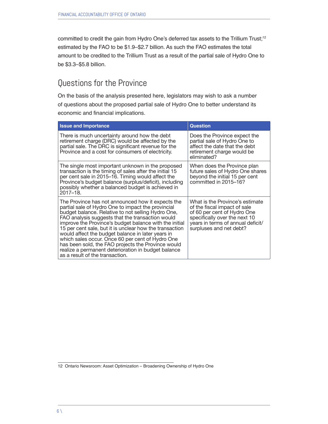committed to credit the gain from Hydro One's deferred tax assets to the Trillium Trust;<sup>12</sup> estimated by the FAO to be \$1.9–\$2.7 billion. As such the FAO estimates the total amount to be credited to the Trillium Trust as a result of the partial sale of Hydro One to be \$3.3–\$5.8 billion.

## Questions for the Province

On the basis of the analysis presented here, legislators may wish to ask a number of questions about the proposed partial sale of Hydro One to better understand its economic and financial implications.

| <b>Issue and Importance</b>                                                                                                                                                                                                                                                                                                                                                                                                                                                                                                                                                                     | <b>Question</b>                                                                                                                                                                                 |
|-------------------------------------------------------------------------------------------------------------------------------------------------------------------------------------------------------------------------------------------------------------------------------------------------------------------------------------------------------------------------------------------------------------------------------------------------------------------------------------------------------------------------------------------------------------------------------------------------|-------------------------------------------------------------------------------------------------------------------------------------------------------------------------------------------------|
| There is much uncertainty around how the debt<br>retirement charge (DRC) would be affected by the<br>partial sale. The DRC is significant revenue for the<br>Province and a cost for consumers of electricity.                                                                                                                                                                                                                                                                                                                                                                                  | Does the Province expect the<br>partial sale of Hydro One to<br>affect the date that the debt<br>retirement charge would be<br>eliminated?                                                      |
| The single most important unknown in the proposed<br>transaction is the timing of sales after the initial 15<br>per cent sale in 2015–16. Timing would affect the<br>Province's budget balance (surplus/deficit), including<br>possibly whether a balanced budget is achieved in<br>2017-18.                                                                                                                                                                                                                                                                                                    | When does the Province plan<br>future sales of Hydro One shares<br>beyond the initial 15 per cent<br>committed in 2015-16?                                                                      |
| The Province has not announced how it expects the<br>partial sale of Hydro One to impact the provincial<br>budget balance. Relative to not selling Hydro One,<br>FAO analysis suggests that the transaction would<br>improve the Province's budget balance with the initial<br>15 per cent sale, but it is unclear how the transaction<br>would affect the budget balance in later years in<br>which sales occur. Once 60 per cent of Hydro One<br>has been sold, the FAO projects the Province would<br>realize a permanent deterioration in budget balance<br>as a result of the transaction. | What is the Province's estimate<br>of the fiscal impact of sale<br>of 60 per cent of Hydro One<br>specifically over the next 10<br>years in terms of annual deficit/<br>surpluses and net debt? |

<sup>12</sup> Ontario Newsroom: Asset Optimization – Broadening Ownership of Hydro One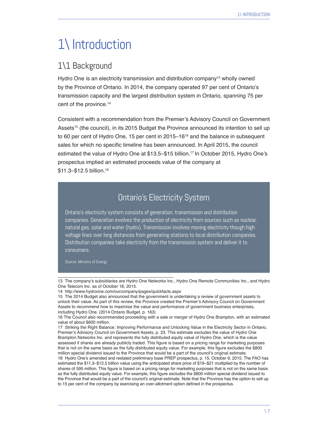# 1\ Introduction

### 1\1 Background

Hydro One is an electricity transmission and distribution company<sup>13</sup> wholly owned by the Province of Ontario. In 2014, the company operated 97 per cent of Ontario's transmission capacity and the largest distribution system in Ontario, spanning 75 per cent of the province.14

Consistent with a recommendation from the Premier's Advisory Council on Government Assets<sup>15</sup> (the council), in its 2015 Budget the Province announced its intention to sell up to 60 per cent of Hydro One, 15 per cent in 2015–16<sup>16</sup> and the balance in subsequent sales for which no specific timeline has been announced. In April 2015, the council estimated the value of Hydro One at \$13.5–\$15 billion.<sup>17</sup> In October 2015, Hydro One's prospectus implied an estimated proceeds value of the company at \$11.3–\$12.5 billion.18

# Ontario's Electricity System

Ontario's electricity system consists of generation, transmission and distribution companies. Generation involves the production of electricity from sources such as nuclear, natural gas, solar and water (hydro). Transmission involves moving electricity though high voltage lines over long distances from generating stations to local distribution companies. Distribution companies take electricity from the transmission system and deliver it to consumers.

Source: Ministry of Energy

<sup>13</sup> The company's subsidiaries are Hydro One Networks Inc., Hydro One Remote Communities Inc., and Hydro One Telecom Inc. as of October 18, 2015.

<sup>14</sup> http://www.hydroone.com/ourcompany/pages/quickfacts.aspx

<sup>15</sup> The 2014 Budget also announced that the government is undertaking a review of government assets to unlock their value. As part of this review, the Province created the Premier's Advisory Council on Government Assets to recommend how to maximize the value and performance of government business enterprises, including Hydro One. (2014 Ontario Budget, p. 163)

<sup>16</sup> The Council also recommended proceeding with a sale or merger of Hydro One Brampton, with an estimated value of about \$600 million.

<sup>17</sup> Striking the Right Balance: Improving Performance and Unlocking Value in the Electricity Sector in Ontario, Premier's Advisory Council on Government Assets, p. 23. This estimate excludes the value of Hydro One Brampton Networks Inc. and represents the fully distributed equity value of Hydro One, which is the value assessed if shares are already publicly traded. This figure is based on a pricing range for marketing purposes that is not on the same basis as the fully distributed equity value. For example, this figure excludes the \$800 million special dividend issued to the Province that would be a part of the council's original estimate. 18 Hydro One's amended and restated preliminary base PREP prospectus, p. 15, October 9, 2015. The FAO has estimated the \$11.3–\$12.5 billion value using the anticipated share price of \$19–\$21 multiplied by the number of shares of 595 million. This figure is based on a pricing range for marketing purposes that is not on the same basis as the fully distributed equity value. For example, this figure excludes the \$800 million special dividend issued to the Province that would be a part of the council's original estimate. Note that the Province has the option to sell up to 15 per cent of the company by exercising an over-allotment option defined in the prospectus.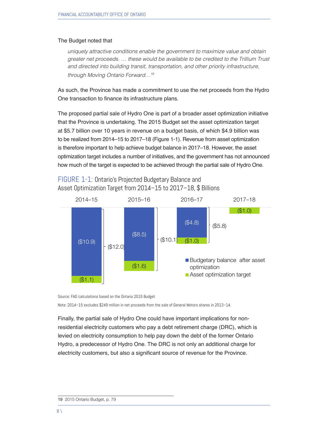#### The Budget noted that

uniquely attractive conditions enable the government to maximize value and obtain greater net proceeds. … these would be available to be credited to the Trillium Trust and directed into building transit, transportation, and other priority infrastructure, through Moving Ontario Forward…19

As such, the Province has made a commitment to use the net proceeds from the Hydro One transaction to finance its infrastructure plans.

The proposed partial sale of Hydro One is part of a broader asset optimization initiative that the Province is undertaking. The 2015 Budget set the asset optimization target at \$5.7 billion over 10 years in revenue on a budget basis, of which \$4.9 billion was to be realized from 2014–15 to 2017–18 (Figure 1-1). Revenue from asset optimization is therefore important to help achieve budget balance in 2017–18. However, the asset optimization target includes a number of initiatives, and the government has not announced how much of the target is expected to be achieved through the partial sale of Hydro One.



#### FIGURE 1-1: Ontario's Projected Budgetary Balance and Asset Optimization Target from 2014–15 to 2017–18, \$ Billions

Source: FAO calculations based on the Ontario 2015 Budget

Note: 2014–15 excludes \$249 million in net proceeds from the sale of General Motors shares in 2013–14.

Finally, the partial sale of Hydro One could have important implications for nonresidential electricity customers who pay a debt retirement charge (DRC), which is levied on electricity consumption to help pay down the debt of the former Ontario Hydro, a predecessor of Hydro One. The DRC is not only an additional charge for electricity customers, but also a significant source of revenue for the Province.

<sup>19</sup> 2015 Ontario Budget, p. 79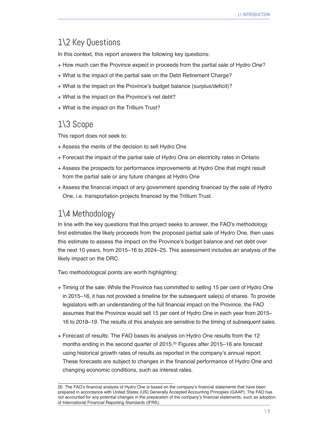# 1\2 Key Questions

In this context, this report answers the following key questions:

- + How much can the Province expect in proceeds from the partial sale of Hydro One?
- + What is the impact of the partial sale on the Debt Retirement Charge?
- + What is the impact on the Province's budget balance (surplus/deficit)?
- + What is the impact on the Province's net debt?
- + What is the impact on the Trillium Trust?

# 1\3 Scope

This report does not seek to:

- + Assess the merits of the decision to sell Hydro One
- + Forecast the impact of the partial sale of Hydro One on electricity rates in Ontario
- + Assess the prospects for performance improvements at Hydro One that might result from the partial sale or any future changes at Hydro One
- + Assess the financial impact of any government spending financed by the sale of Hydro One, i.e. transportation projects financed by the Trillium Trust.

### 1\4 Methodology

In line with the key questions that this project seeks to answer, the FAO's methodology first estimates the likely proceeds from the proposed partial sale of Hydro One, then uses this estimate to assess the impact on the Province's budget balance and net debt over the next 10 years, from 2015–16 to 2024–25. This assessment includes an analysis of the likely impact on the DRC.

Two methodological points are worth highlighting:

- + Timing of the sale: While the Province has committed to selling 15 per cent of Hydro One in 2015–16, it has not provided a timeline for the subsequent sale(s) of shares. To provide legislators with an understanding of the full financial impact on the Province, the FAO assumes that the Province would sell 15 per cent of Hydro One in each year from 2015– 16 to 2018–19. The results of this analysis are sensitive to the timing of subsequent sales.
- + Forecast of results: The FAO bases its analysis on Hydro One results from the 12 months ending in the second quarter of 2015.<sup>20</sup> Figures after 2015–16 are forecast using historical growth rates of results as reported in the company's annual report. These forecasts are subject to changes in the financial performance of Hydro One and changing economic conditions, such as interest rates.

<sup>20</sup> The FAO's financial analysis of Hydro One is based on the company's financial statements that have been prepared in accordance with United States (US) Generally Accepted Accounting Principles (GAAP). The FAO has not accounted for any potential changes in the preparation of the company's financial statements, such as adoption of International Financial Reporting Standards (IFRS).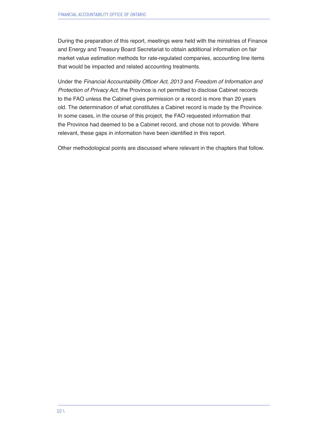During the preparation of this report, meetings were held with the ministries of Finance and Energy and Treasury Board Secretariat to obtain additional information on fair market value estimation methods for rate-regulated companies, accounting line items that would be impacted and related accounting treatments.

Under the Financial Accountability Officer Act, 2013 and *Freedom of Information and Protection of Privacy Act*, the Province is not permitted to disclose Cabinet records to the FAO unless the Cabinet gives permission or a record is more than 20 years old. The determination of what constitutes a Cabinet record is made by the Province. In some cases, in the course of this project, the FAO requested information that the Province had deemed to be a Cabinet record, and chose not to provide. Where relevant, these gaps in information have been identified in this report.

Other methodological points are discussed where relevant in the chapters that follow.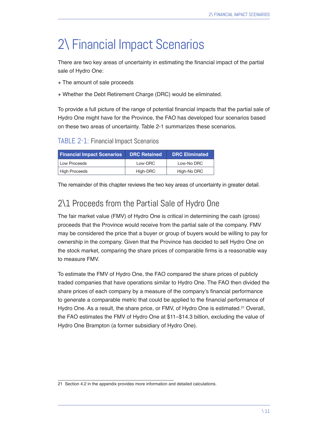# 2\ Financial Impact Scenarios

There are two key areas of uncertainty in estimating the financial impact of the partial sale of Hydro One:

+ The amount of sale proceeds

+ Whether the Debt Retirement Charge (DRC) would be eliminated.

To provide a full picture of the range of potential financial impacts that the partial sale of Hydro One might have for the Province, the FAO has developed four scenarios based on these two areas of uncertainty. Table 2-1 summarizes these scenarios.

TABLE 2-1: Financial Impact Scenarios

| <b>Financial Impact Scenarios</b> | <b>DRC Retained</b> | <b>DRC Eliminated</b> |
|-----------------------------------|---------------------|-----------------------|
| Low Proceeds                      | Low-DRC             | Low-No DRC            |
| High Proceeds                     | High-DRC            | High-No DRC           |

The remainder of this chapter reviews the two key areas of uncertainty in greater detail.

# 2\1 Proceeds from the Partial Sale of Hydro One

The fair market value (FMV) of Hydro One is critical in determining the cash (gross) proceeds that the Province would receive from the partial sale of the company. FMV may be considered the price that a buyer or group of buyers would be willing to pay for ownership in the company. Given that the Province has decided to sell Hydro One on the stock market, comparing the share prices of comparable firms is a reasonable way to measure FMV.

To estimate the FMV of Hydro One, the FAO compared the share prices of publicly traded companies that have operations similar to Hydro One. The FAO then divided the share prices of each company by a measure of the company's financial performance to generate a comparable metric that could be applied to the financial performance of Hydro One. As a result, the share price, or FMV, of Hydro One is estimated.<sup>21</sup> Overall, the FAO estimates the FMV of Hydro One at \$11–\$14.3 billion, excluding the value of Hydro One Brampton (a former subsidiary of Hydro One).

<sup>21</sup> Section 4.2 in the appendix provides more information and detailed calculations.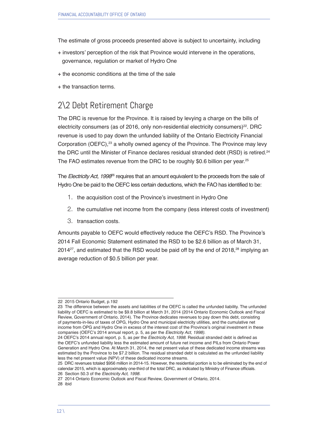The estimate of gross proceeds presented above is subject to uncertainty, including

- + investors' perception of the risk that Province would intervene in the operations, governance, regulation or market of Hydro One
- + the economic conditions at the time of the sale
- + the transaction terms.

# 2\2 Debt Retirement Charge

The DRC is revenue for the Province. It is raised by levying a charge on the bills of electricity consumers (as of 2016, only non-residential electricity consumers) $^{22}$ . DRC revenue is used to pay down the unfunded liability of the Ontario Electricity Financial Corporation (OEFC),<sup>23</sup> a wholly owned agency of the Province. The Province may levy the DRC until the Minister of Finance declares residual stranded debt (RSD) is retired.<sup>24</sup> The FAO estimates revenue from the DRC to be roughly \$0.6 billion per year.<sup>25</sup>

The Electricity Act, 1998<sup>6</sup> requires that an amount equivalent to the proceeds from the sale of Hydro One be paid to the OEFC less certain deductions, which the FAO has identified to be:

- 1. the acquisition cost of the Province's investment in Hydro One
- 2. the cumulative net income from the company (less interest costs of investment)
- 3. transaction costs.

Amounts payable to OEFC would effectively reduce the OEFC's RSD. The Province's 2014 Fall Economic Statement estimated the RSD to be \$2.6 billion as of March 31, 2014<sup>27</sup>, and estimated that the RSD would be paid off by the end of 2018,<sup>28</sup> implying an average reduction of \$0.5 billion per year.

<sup>22 2015</sup> Ontario Budget, p.192

<sup>23</sup> The difference between the assets and liabilities of the OEFC is called the unfunded liability. The unfunded liability of OEFC is estimated to be \$9.8 billion at March 31, 2014 (2014 Ontario Economic Outlook and Fiscal Review, Government of Ontario, 2014). The Province dedicates revenues to pay down this debt, consisting of payments-in-lieu of taxes of OPG, Hydro One and municipal electricity utilities, and the cumulative net income from OPG and Hydro One in excess of the interest cost of the Province's original investment in these companies (OEFC's 2014 annual report, p. 5, as per the Electricity Act, 1998).

<sup>24</sup> OEFC's 2014 annual report, p. 5, as per the Electricity Act, 1998. Residual stranded debt is defined as the OEFC's unfunded liability less the estimated amount of future net income and PILs from Ontario Power Generation and Hydro One. At March 31, 2014, the net present value of these dedicated income streams was estimated by the Province to be \$7.2 billion. The residual stranded debt is calculated as the unfunded liability less the net present value (NPV) of these dedicated income streams.

<sup>25</sup> DRC revenues totaled \$956 million in 2014-15. However, the residential portion is to be eliminated by the end of calendar 2015, which is approximately one-third of the total DRC, as indicated by Ministry of Finance officials. 26 Section 50.3 of the Electricity Act, 1998.

<sup>27 2014</sup> Ontario Economic Outlook and Fiscal Review, Government of Ontario, 2014.

<sup>28</sup> ibid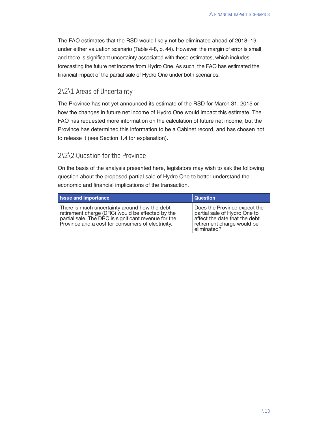The FAO estimates that the RSD would likely not be eliminated ahead of 2018–19 under either valuation scenario (Table 4-8, p. 44). However, the margin of error is small and there is significant uncertainty associated with these estimates, which includes forecasting the future net income from Hydro One. As such, the FAO has estimated the financial impact of the partial sale of Hydro One under both scenarios.

#### 2\2\1 Areas of Uncertainty

The Province has not yet announced its estimate of the RSD for March 31, 2015 or how the changes in future net income of Hydro One would impact this estimate. The FAO has requested more information on the calculation of future net income, but the Province has determined this information to be a Cabinet record, and has chosen not to release it (see Section 1.4 for explanation).

#### 2\2\2 Question for the Province

On the basis of the analysis presented here, legislators may wish to ask the following question about the proposed partial sale of Hydro One to better understand the economic and financial implications of the transaction.

| <b>Issue and Importance</b>                                                                                                                                                                                    | <b>Question</b>                                                                                                                            |
|----------------------------------------------------------------------------------------------------------------------------------------------------------------------------------------------------------------|--------------------------------------------------------------------------------------------------------------------------------------------|
| There is much uncertainty around how the debt<br>retirement charge (DRC) would be affected by the<br>partial sale. The DRC is significant revenue for the<br>Province and a cost for consumers of electricity. | Does the Province expect the<br>partial sale of Hydro One to<br>affect the date that the debt<br>retirement charge would be<br>eliminated? |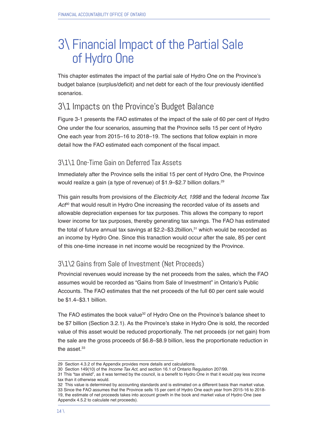# 3\ Financial Impact of the Partial Sale of Hydro One

This chapter estimates the impact of the partial sale of Hydro One on the Province's budget balance (surplus/deficit) and net debt for each of the four previously identified scenarios.

# 3\1 Impacts on the Province's Budget Balance

Figure 3-1 presents the FAO estimates of the impact of the sale of 60 per cent of Hydro One under the four scenarios, assuming that the Province sells 15 per cent of Hydro One each year from 2015–16 to 2018–19. The sections that follow explain in more detail how the FAO estimated each component of the fiscal impact.

#### 3\1\1 One-Time Gain on Deferred Tax Assets

Immediately after the Province sells the initial 15 per cent of Hydro One, the Province would realize a gain (a type of revenue) of \$1.9-\$2.7 billion dollars.<sup>29</sup>

This gain results from provisions of the Electricity Act, 1998 and the federal *Income Tax*  Act<sup>o</sup> that would result in Hydro One increasing the recorded value of its assets and allowable depreciation expenses for tax purposes. This allows the company to report lower income for tax purposes, thereby generating tax savings. The FAO has estimated the total of future annual tax savings at \$2.2-\$3.2billion,<sup>31</sup> which would be recorded as an income by Hydro One. Since this tranaction would occur after the sale, 85 per cent of this one-time increase in net income would be recognized by the Province.

#### 3\1\2 Gains from Sale of Investment (Net Proceeds)

Provincial revenues would increase by the net proceeds from the sales, which the FAO assumes would be recorded as "Gains from Sale of Investment" in Ontario's Public Accounts. The FAO estimates that the net proceeds of the full 60 per cent sale would be \$1.4–\$3.1 billion.

The FAO estimates the book value<sup>32</sup> of Hydro One on the Province's balance sheet to be \$7 billion (Section 3.2.1). As the Province's stake in Hydro One is sold, the recorded value of this asset would be reduced proportionally. The net proceeds (or net gain) from the sale are the gross proceeds of \$6.8–\$8.9 billion, less the proportionate reduction in the asset.<sup>33</sup>

<sup>29</sup> Section 4.3.2 of the Appendix provides more details and calculations.

<sup>30</sup> Section 149(10) of the *Income Tax Act*, and section 16.1 of Ontario Regulation 207/99.

<sup>31</sup> This "tax shield", as it was termed by the council, is a benefit to Hydro One in that it would pay less income tax than it otherwise would.

<sup>32</sup> This value is determined by accounting standards and is estimated on a different basis than market value. 33 Since the FAO assumes that the Province sells 15 per cent of Hydro One each year from 2015-16 to 2018- 19, the estimate of net proceeds takes into account growth in the book and market value of Hydro One (see Appendix 4.5.2 to calculate net proceeds).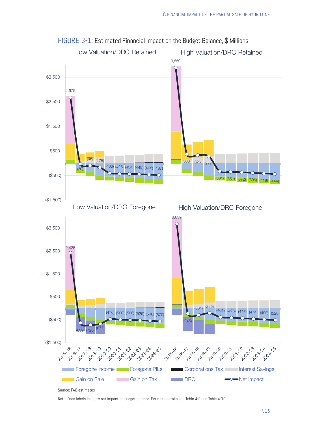

Note: Data labels indicate net impact on budget balance. For more details see Table 4-9 and Table 4-10.

FIGURE 3-1: Estimated Financial Impact on the Budget Balance, \$ Millions

\ 15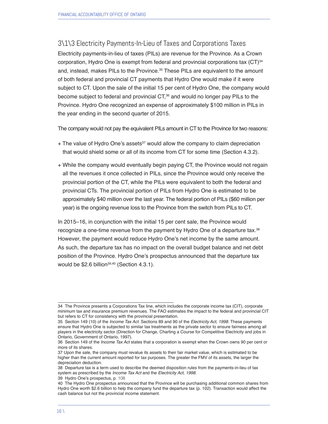3\1\3 Electricity Payments-In-Lieu of Taxes and Corporations Taxes Electricity payments-in-lieu of taxes (PILs) are revenue for the Province. As a Crown

corporation, Hydro One is exempt from federal and provincial corporations tax  $(CT)^{34}$ and, instead, makes PILs to the Province.<sup>35</sup> These PILs are equivalent to the amount of both federal and provincial CT payments that Hydro One would make if it were subject to CT. Upon the sale of the initial 15 per cent of Hydro One, the company would become subject to federal and provincial CT,<sup>36</sup> and would no longer pay PILs to the Province. Hydro One recognized an expense of approximately \$100 million in PILs in the year ending in the second quarter of 2015.

The company would not pay the equivalent PILs amount in CT to the Province for two reasons:

- $+$  The value of Hydro One's assets $37$  would allow the company to claim depreciation that would shield some or all of its income from CT for some time (Section 4.3.2).
- + While the company would eventually begin paying CT, the Province would not regain all the revenues it once collected in PILs, since the Province would only receive the provincial portion of the CT, while the PILs were equivalent to both the federal and provincial CTs. The provincial portion of PILs from Hydro One is estimated to be approximately \$40 million over the last year. The federal portion of PILs (\$60 million per year) is the ongoing revenue loss to the Province from the switch from PILs to CT.

In 2015–16, in conjunction with the initial 15 per cent sale, the Province would recognize a one-time revenue from the payment by Hydro One of a departure tax.<sup>38</sup> However, the payment would reduce Hydro One's net income by the same amount. As such, the departure tax has no impact on the overall budget balance and net debt position of the Province. Hydro One's prospectus announced that the departure tax would be \$2.6 billion<sup>39,40</sup> (Section 4.3.1).

39 Hydro One's prospectus, p. 108

<sup>34</sup> The Province presents a Corporations Tax line, which includes the corporate income tax (CIT), corporate minimum tax and insurance premium revenues. The FAO estimates the impact to the federal and provincial CIT but refers to CT for consistency with the provincial presentation.

<sup>35</sup> Section 149 (10) of the *Income Tax Act*. Sections 89 and 90 of the Electricity Act, 1998. These payments ensure that Hydro One is subjected to similar tax treatments as the private sector to ensure fairness among all players in the electricity sector (Direction for Change, Charting a Course for Competitive Electricity and jobs in Ontario, Government of Ontario, 1997).

<sup>36</sup> Section 149 of the *Income Tax Act* states that a corporation is exempt when the Crown owns 90 per cent or more of its shares.

<sup>37</sup> Upon the sale, the company must revalue its assets to their fair market value, which is estimated to be higher than the current amount reported for tax purposes. The greater the FMV of its assets, the larger the depreciation deduction.

<sup>38</sup> Departure tax is a term used to describe the deemed disposition rules from the payments-in-lieu of tax system as prescribed by the *Income Tax Act* and the Electricity Act, 1998.

<sup>40</sup> The Hydro One prospectus announced that the Province will be purchasing additional common shares from Hydro One worth \$2.6 billion to help the company fund the departure tax (p. 102). Transaction would affect the cash balance but not the provincial income statement.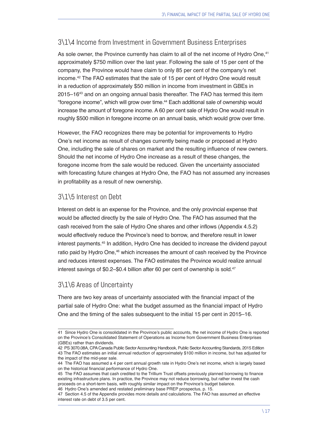#### 3\1\4 Income from Investment in Government Business Enterprises

As sole owner, the Province currently has claim to all of the net income of Hydro One,<sup>41</sup> approximately \$750 million over the last year. Following the sale of 15 per cent of the company, the Province would have claim to only 85 per cent of the company's net income.42 The FAO estimates that the sale of 15 per cent of Hydro One would result in a reduction of approximately \$50 million in income from investment in GBEs in 2015–1643 and on an ongoing annual basis thereafter. The FAO has termed this item "foregone income", which will grow over time.44 Each additional sale of ownership would increase the amount of foregone income. A 60 per cent sale of Hydro One would result in roughly \$500 million in foregone income on an annual basis, which would grow over time.

However, the FAO recognizes there may be potential for improvements to Hydro One's net income as result of changes currently being made or proposed at Hydro One, including the sale of shares on market and the resulting influence of new owners. Should the net income of Hydro One increase as a result of these changes, the foregone income from the sale would be reduced. Given the uncertainty associated with forecasting future changes at Hydro One, the FAO has not assumed any increases in profitability as a result of new ownership.

#### 3\1\5 Interest on Debt

Interest on debt is an expense for the Province, and the only provincial expense that would be affected directly by the sale of Hydro One. The FAO has assumed that the cash received from the sale of Hydro One shares and other inflows (Appendix 4.5.2) would effectively reduce the Province's need to borrow, and therefore result in lower interest payments.45 In addition, Hydro One has decided to increase the dividend payout ratio paid by Hydro One,<sup>46</sup> which increases the amount of cash received by the Province and reduces interest expenses. The FAO estimates the Province would realize annual interest savings of \$0.2–\$0.4 billion after 60 per cent of ownership is sold.<sup>47</sup>

#### 3\1\6 Areas of Uncertainty

There are two key areas of uncertainty associated with the financial impact of the partial sale of Hydro One: what the budget assumed as the financial impact of Hydro One and the timing of the sales subsequent to the initial 15 per cent in 2015–16.

<sup>41</sup> Since Hydro One is consolidated in the Province's public accounts, the net income of Hydro One is reported on the Province's Consolidated Statement of Operations as Income from Government Business Enterprises (GBEs) rather than dividends.

<sup>42</sup> PS 3070.08A, CPA Canada Public Sector Accounting Handbook, Public Sector Accounting Standards, 2015 Edition 43 The FAO estimates an initial annual reduction of approximately \$100 million in income, but has adjusted for the impact of the mid-year sale.

<sup>44</sup> The FAO has assumed a 4 per cent annual growth rate in Hydro One's net income, which is largely based on the historical financial performance of Hydro One.

<sup>45</sup> The FAO assumes that cash credited to the Trillium Trust offsets previously planned borrowing to finance existing infrastructure plans. In practice, the Province may not reduce borrowing, but rather invest the cash proceeds on a short-term basis, with roughly similar impact on the Province's budget balance.

<sup>46</sup> Hydro One's amended and restated preliminary base PREP prospectus, p. 15.

<sup>47</sup> Section 4.5 of the Appendix provides more details and calculations. The FAO has assumed an effective interest rate on debt of 3.5 per cent.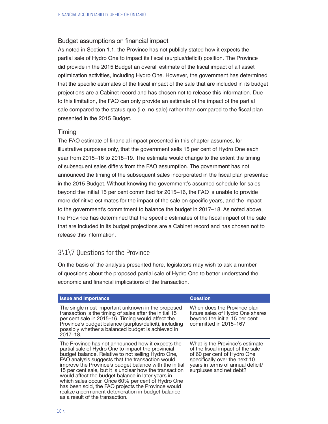#### Budget assumptions on financial impact

As noted in Section 1.1, the Province has not publicly stated how it expects the partial sale of Hydro One to impact its fiscal (surplus/deficit) position. The Province did provide in the 2015 Budget an overall estimate of the fiscal impact of all asset optimization activities, including Hydro One. However, the government has determined that the specific estimates of the fiscal impact of the sale that are included in its budget projections are a Cabinet record and has chosen not to release this information. Due to this limitation, the FAO can only provide an estimate of the impact of the partial sale compared to the status quo (i.e. no sale) rather than compared to the fiscal plan presented in the 2015 Budget.

#### Timing

The FAO estimate of financial impact presented in this chapter assumes, for illustrative purposes only, that the government sells 15 per cent of Hydro One each year from 2015–16 to 2018–19. The estimate would change to the extent the timing of subsequent sales differs from the FAO assumption. The government has not announced the timing of the subsequent sales incorporated in the fiscal plan presented in the 2015 Budget. Without knowing the government's assumed schedule for sales beyond the initial 15 per cent committed for 2015–16, the FAO is unable to provide more definitive estimates for the impact of the sale on specific years, and the impact to the government's commitment to balance the budget in 2017–18. As noted above, the Province has determined that the specific estimates of the fiscal impact of the sale that are included in its budget projections are a Cabinet record and has chosen not to release this information.

#### 3\1\7 Questions for the Province

On the basis of the analysis presented here, legislators may wish to ask a number of questions about the proposed partial sale of Hydro One to better understand the economic and financial implications of the transaction.

| <b>Issue and Importance</b>                                                                                                                                                                                                                                                                                                                                                                                                                                                                                                                                                                      | <b>Question</b>                                                                                                                                                                                     |
|--------------------------------------------------------------------------------------------------------------------------------------------------------------------------------------------------------------------------------------------------------------------------------------------------------------------------------------------------------------------------------------------------------------------------------------------------------------------------------------------------------------------------------------------------------------------------------------------------|-----------------------------------------------------------------------------------------------------------------------------------------------------------------------------------------------------|
| The single most important unknown in the proposed<br>transaction is the timing of sales after the initial 15<br>per cent sale in 2015–16. Timing would affect the<br>Province's budget balance (surplus/deficit), including<br>possibly whether a balanced budget is achieved in<br>2017-18.                                                                                                                                                                                                                                                                                                     | When does the Province plan<br>future sales of Hydro One shares<br>beyond the initial 15 per cent<br>committed in 2015-16?                                                                          |
| The Province has not announced how it expects the<br>partial sale of Hydro One to impact the provincial<br>budget balance. Relative to not selling Hydro One,<br>FAO analysis suggests that the transaction would<br>improve the Province's budget balance with the initial<br>15 per cent sale, but it is unclear how the transaction<br>would affect the budget balance in later years in<br>which sales occur. Once 60% per cent of Hydro One<br>has been sold, the FAO projects the Province would<br>realize a permanent deterioration in budget balance<br>as a result of the transaction. | What is the Province's estimate<br>of the fiscal impact of the sale<br>of 60 per cent of Hydro One<br>specifically over the next 10<br>years in terms of annual deficit/<br>surpluses and net debt? |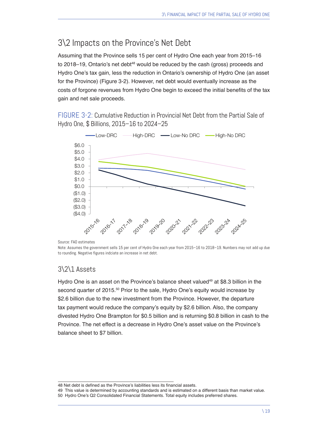# 3\2 Impacts on the Province's Net Debt

Assuming that the Province sells 15 per cent of Hydro One each year from 2015–16 to 2018–19, Ontario's net debt<sup>48</sup> would be reduced by the cash (gross) proceeds and Hydro One's tax gain, less the reduction in Ontario's ownership of Hydro One (an asset for the Province) (Figure 3-2). However, net debt would eventually increase as the costs of forgone revenues from Hydro One begin to exceed the initial benefits of the tax gain and net sale proceeds.

FIGURE 3-2: Cumulative Reduction in Provincial Net Debt from the Partial Sale of Hydro One, \$ Billions, 2015–16 to 2024–25



Source: FAO estimates

Note: Assumes the government sells 15 per cent of Hydro One each year from 2015–16 to 2018–19. Numbers may not add up due to rounding. Negative figures indciate an increase in net debt.

#### 3\2\1 Assets

Hydro One is an asset on the Province's balance sheet valued<sup>49</sup> at \$8.3 billion in the second quarter of 2015.<sup>50</sup> Prior to the sale, Hydro One's equity would increase by \$2.6 billion due to the new investment from the Province. However, the departure tax payment would reduce the company's equity by \$2.6 billion. Also, the company divested Hydro One Brampton for \$0.5 billion and is returning \$0.8 billion in cash to the Province. The net effect is a decrease in Hydro One's asset value on the Province's balance sheet to \$7 billion.

49 This value is determined by accounting standards and is estimated on a different basis than market value.

<sup>48</sup> Net debt is defined as the Province's liabilities less its financial assets.

<sup>50</sup> Hydro One's Q2 Consolidated Financial Statements. Total equity includes preferred shares.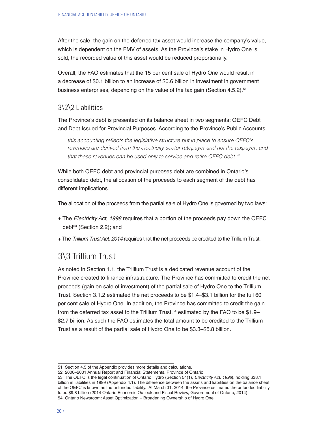After the sale, the gain on the deferred tax asset would increase the company's value, which is dependent on the FMV of assets. As the Province's stake in Hydro One is sold, the recorded value of this asset would be reduced proportionally.

Overall, the FAO estimates that the 15 per cent sale of Hydro One would result in a decrease of \$0.1 billion to an increase of \$0.6 billion in investment in government business enterprises, depending on the value of the tax gain (Section 4.5.2).<sup>51</sup>

#### 3\2\2 Liabilities

The Province's debt is presented on its balance sheet in two segments: OEFC Debt and Debt Issued for Provincial Purposes. According to the Province's Public Accounts,

this accounting reflects the legislative structure put in place to ensure OEFC's revenues are derived from the electricity sector ratepayer and not the taxpayer, and that these revenues can be used only to service and retire OEFC debt.<sup>52</sup>

While both OEFC debt and provincial purposes debt are combined in Ontario's consolidated debt, the allocation of the proceeds to each segment of the debt has different implications.

The allocation of the proceeds from the partial sale of Hydro One is governed by two laws:

- + The *Electricity Act, 1998* requires that a portion of the proceeds pay down the OEFC debt<sup>53</sup> (Section 2.2); and
- + The Trillium Trust Act, 2014 requires that the net proceeds be credited to the Trillium Trust.

# 3\3 Trillium Trust

As noted in Section 1.1, the Trillium Trust is a dedicated revenue account of the Province created to finance infrastructure. The Province has committed to credit the net proceeds (gain on sale of investment) of the partial sale of Hydro One to the Trillium Trust. Section 3.1.2 estimated the net proceeds to be \$1.4–\$3.1 billion for the full 60 per cent sale of Hydro One. In addition, the Province has committed to credit the gain from the deferred tax asset to the Trillium Trust, $54$  estimated by the FAO to be \$1.9– \$2.7 billion. As such the FAO estimates the total amount to be credited to the Trillium Trust as a result of the partial sale of Hydro One to be \$3.3–\$5.8 billion.

<sup>51</sup> Section 4.5 of the Appendix provides more details and calculations.

<sup>52 2000–2001</sup> Annual Report and Financial Statements, Province of Ontario

<sup>53</sup> The OEFC is the legal continuation of Ontario Hydro (Section 54(1), Electricity Act, 1998), holding \$38.1 billion in liabilities in 1999 (Appendix 4.1). The difference between the assets and liabilities on the balance sheet of the OEFC is known as the unfunded liability. At March 31, 2014, the Province estimated the unfunded liability to be \$9.8 billion (2014 Ontario Economic Outlook and Fiscal Review, Government of Ontario, 2014). 54 Ontario Newsroom: Asset Optimization – Broadening Ownership of Hydro One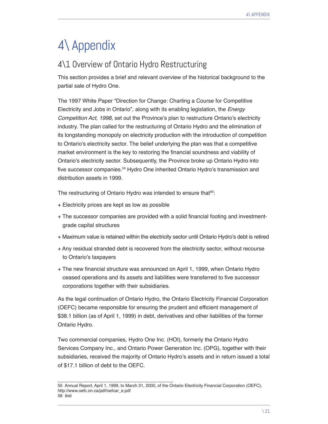# 4\ Appendix

# 4\1 Overview of Ontario Hydro Restructuring

This section provides a brief and relevant overview of the historical background to the partial sale of Hydro One.

The 1997 White Paper "Direction for Change: Charting a Course for Competitive Electricity and Jobs in Ontario", along with its enabling legislation, the *Energy*  Competition Act, 1998, set out the Province's plan to restructure Ontario's electricity industry. The plan called for the restructuring of Ontario Hydro and the elimination of its longstanding monopoly on electricity production with the introduction of competition to Ontario's electricity sector. The belief underlying the plan was that a competitive market environment is the key to restoring the financial soundness and viability of Ontario's electricity sector. Subsequently, the Province broke up Ontario Hydro into five successor companies.55 Hydro One inherited Ontario Hydro's transmission and distribution assets in 1999.

The restructuring of Ontario Hydro was intended to ensure that<sup>56</sup>:

- + Electricity prices are kept as low as possible
- + The successor companies are provided with a solid financial footing and investmentgrade capital structures
- + Maximum value is retained within the electricity sector until Ontario Hydro's debt is retired
- + Any residual stranded debt is recovered from the electricity sector, without recourse to Ontario's taxpayers
- + The new financial structure was announced on April 1, 1999, when Ontario Hydro ceased operations and its assets and liabilities were transferred to five successor corporations together with their subsidiaries.

As the legal continuation of Ontario Hydro, the Ontario Electricity Financial Corporation (OEFC) became responsible for ensuring the prudent and efficient management of \$38.1 billion (as of April 1, 1999) in debt, derivatives and other liabilities of the former Ontario Hydro.

Two commercial companies, Hydro One Inc. (HOI), formerly the Ontario Hydro Services Company Inc., and Ontario Power Generation Inc. (OPG), together with their subsidiaries, received the majority of Ontario Hydro's assets and in return issued a total of \$17.1 billion of debt to the OEFC.

<sup>55</sup> Annual Report, April 1, 1999, to March 31, 2000, of the Ontario Electricity Financial Corporation (OEFC), http://www.oefc.on.ca/pdf/oefcar\_e.pdf 56 ibid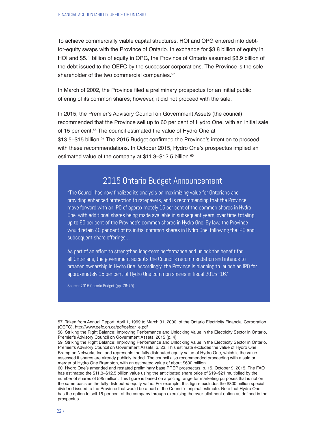To achieve commercially viable capital structures, HOI and OPG entered into debtfor-equity swaps with the Province of Ontario. In exchange for \$3.8 billion of equity in HOI and \$5.1 billion of equity in OPG, the Province of Ontario assumed \$8.9 billion of the debt issued to the OEFC by the successor corporations. The Province is the sole shareholder of the two commercial companies.<sup>57</sup>

In March of 2002, the Province filed a preliminary prospectus for an initial public offering of its common shares; however, it did not proceed with the sale.

In 2015, the Premier's Advisory Council on Government Assets (the council) recommended that the Province sell up to 60 per cent of Hydro One, with an initial sale of 15 per cent.<sup>58</sup> The council estimated the value of Hydro One at \$13.5–\$15 billion.<sup>59</sup> The 2015 Budget confirmed the Province's intention to proceed with these recommendations. In October 2015, Hydro One's prospectus implied an estimated value of the company at \$11.3–\$12.5 billion.<sup>60</sup>

### 2015 Ontario Budget Announcement

"The Council has now finalized its analysis on maximizing value for Ontarians and providing enhanced protection to ratepayers, and is recommending that the Province move forward with an IPO of approximately 15 per cent of the common shares in Hydro One, with additional shares being made available in subsequent years, over time totaling up to 60 per cent of the Province's common shares in Hydro One. By law, the Province would retain 40 per cent of its initial common shares in Hydro One, following the IPO and subsequent share offerings…

As part of an effort to strengthen long-term performance and unlock the benefit for all Ontarians, the government accepts the Council's recommendation and intends to broaden ownership in Hydro One. Accordingly, the Province is planning to launch an IPO for approximately 15 per cent of Hydro One common shares in fiscal 2015–16."

Source: 2015 Ontario Budget (pp. 78-79)

<sup>57</sup> Taken from Annual Report, April 1, 1999 to March 31, 2000, of the Ontario Electricity Financial Corporation (OEFC), http://www.oefc.on.ca/pdf/oefcar\_e.pdf

<sup>58</sup> Striking the Right Balance: Improving Performance and Unlocking Value in the Electricity Sector in Ontario, Premier's Advisory Council on Government Assets, 2015 (p. 4)

<sup>59</sup> Striking the Right Balance: Improving Performance and Unlocking Value in the Electricity Sector in Ontario, Premier's Advisory Council on Government Assets, p. 23. This estimate excludes the value of Hydro One Brampton Networks Inc. and represents the fully distributed equity value of Hydro One, which is the value assessed if shares are already publicly traded. The council also recommended proceeding with a sale or merger of Hydro One Brampton, with an estimated value of about \$600 million.

<sup>60</sup> Hydro One's amended and restated preliminary base PREP prospectus, p. 15, October 9, 2015. The FAO has estimated the \$11.3–\$12.5 billion value using the anticipated share price of \$19–\$21 multiplied by the number of shares of 595 million. This figure is based on a pricing range for marketing purposes that is not on the same basis as the fully distributed equity value. For example, this figure excludes the \$800 million special dividend issued to the Province that would be a part of the Council's original estimate. Note that Hydro One has the option to sell 15 per cent of the company through exercising the over-allotment option as defined in the prospectus.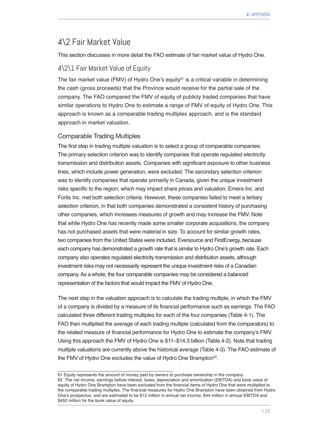# 4\2 Fair Market Value

This section discusses in more detail the FAO estimate of fair market value of Hydro One.

#### 4\2\1 Fair Market Value of Equity

The fair market value (FMV) of Hydro One's equity<sup>61</sup> is a critical variable in determining the cash (gross proceeds) that the Province would receive for the partial sale of the company. The FAO compared the FMV of equity of publicly traded companies that have similar operations to Hydro One to estimate a range of FMV of equity of Hydro One. This approach is known as a comparable trading multiples approach, and is the standard approach in market valuation.

#### Comparable Trading Multiples

The first step in trading multiple valuation is to select a group of comparable companies. The primary selection criterion was to identify companies that operate regulated electricity transmission and distribution assets. Companies with significant exposure to other business lines, which include power generation, were excluded. The secondary selection criterion was to identify companies that operate primarily in Canada, given the unique investment risks specific to the region, which may impact share prices and valuation. Emera Inc. and Fortis Inc. met both selection criteria. However, these companies failed to meet a tertiary selection criterion, in that both companies demonstrated a consistent history of purchasing other companies, which increases measures of growth and may increase the FMV. Note that while Hydro One has recently made some smaller corporate acquisitions, the company has not purchased assets that were material in size. To account for similar growth rates, two companies from the United States were included, Eversource and FirstEnergy, because each company has demonstrated a growth rate that is similar to Hydro One's growth rate. Each company also operates regulated electricity transmission and distribution assets, although investment risks may not necessarily represent the unique investment risks of a Canadian company. As a whole, the four comparable companies may be considered a balanced representation of the factors that would impact the FMV of Hydro One.

The next step in the valuation approach is to calculate the trading multiple, in which the FMV of a company is divided by a measure of its financial performance such as earnings. The FAO calculated three different trading multiples for each of the four companies (Table 4-1). The FAO then multiplied the average of each trading multiple (calculated from the comparators) to the related measure of financial performance for Hydro One to estimate the company's FMV. Using this approach the FMV of Hydro One is \$11–\$14.3 billion (Table 4-2). Note that trading multiple valuations are currently above the historical average (Table 4-3). The FAO estimate of the FMV of Hydro One excludes the value of Hydro One Brampton<sup>62</sup>.

<sup>61</sup> Equity represents the amount of money paid by owners to purchase ownership in the company. 62 The net income, earnings before interest, taxes, depreciation and amortization (EBITDA) and book value of equity of Hydro One Brampton have been excluded from the financial items of Hydro One that were multiplied to the comparable trading multiples. The financial measures for Hydro One Brampton have been obtained from Hydro One's prospectus, and are estimated to be \$12 million in annual net income, \$44 million in annual EBITDA and \$450 million for the book value of equity.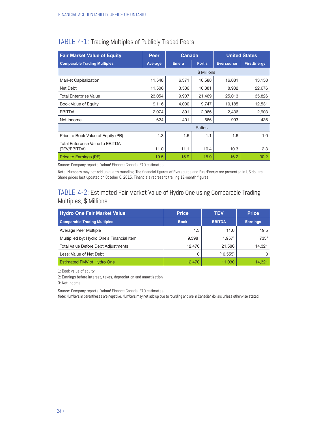| <b>Fair Market Value of Equity</b>                      | Canada<br><b>Peer</b> |              |               | <b>United States</b> |                    |
|---------------------------------------------------------|-----------------------|--------------|---------------|----------------------|--------------------|
| <b>Comparable Trading Multiples</b>                     | Average               | <b>Emera</b> | <b>Fortis</b> | <b>Eversource</b>    | <b>FirstEnergy</b> |
|                                                         |                       |              | \$ Millions   |                      |                    |
| <b>Market Capitalization</b>                            | 11,548                | 6,371        | 10,588        | 16,081               | 13,150             |
| Net Debt                                                | 11,506                | 3,536        | 10,881        | 8,932                | 22,676             |
| <b>Total Enterprise Value</b>                           | 23,054                | 9,907        | 21,469        | 25,013               | 35,826             |
| <b>Book Value of Equity</b>                             | 9,116                 | 4,000        | 9,747         | 10,185               | 12,531             |
| <b>EBITDA</b>                                           | 2,074                 | 891          | 2,066         | 2,436                | 2,903              |
| Net Income                                              | 624                   | 401          | 666           | 993                  | 436                |
|                                                         |                       |              | Ratios        |                      |                    |
| Price to Book Value of Equity (PB)                      | 1.3                   | 1.6          | 1.1           | 1.6                  | 1.0                |
| <b>Total Enterprise Value to EBITDA</b><br>(TEV/EBITDA) | 11.0                  | 11.1         | 10.4          | 10.3                 | 12.3               |
| Price to Earnings (PE)                                  | 19.5                  | 15.9         | 15.9          | 16.2                 | 30.2               |

#### TABLE 4-1: Trading Multiples of Publicly Traded Peers

Source: Company reports, Yahoo! Finance Canada, FAO estimates

Note: Numbers may not add up due to rounding. The financial figures of Eversource and FirstEnergy are presented in US dollars. Share prices last updated on October 6, 2015. Financials represent trailing 12-month figures.

#### TABLE 4-2: Estimated Fair Market Value of Hydro One using Comparable Trading Multiples, \$ Millions

| <b>Hydro One Fair Market Value</b>         | <b>Price</b> | <b>TEV</b>         | <b>Price</b>    |
|--------------------------------------------|--------------|--------------------|-----------------|
| <b>Comparable Trading Multiples</b>        | <b>Book</b>  | <b>EBITDA</b>      | <b>Earnings</b> |
| Average Peer Multiple                      | 1.3          | 11.0               | 19.5            |
| Multiplied by: Hydro One's Financial Item  | 9,3981       | 1.957 <sup>2</sup> | 7333            |
| <b>Total Value Before Debt Adjustments</b> | 12,470       | 21,586             | 14,321          |
| Less: Value of Net Debt                    | O            | (10, 555)          | 0               |
| <b>Estimated FMV of Hydro One</b>          | 12.470       | 11.030             | 14.321          |

1: Book value of equity

2: Earnings before interest, taxes, depreciation and amortization

3: Net income

Source: Company reports, Yahoo! Finance Canada, FAO estimates

Note: Numbers in parentheses are negative. Numbers may not add up due to rounding and are in Canadian dollars unless otherwise stated.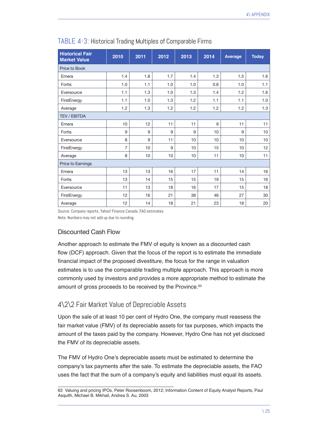| <b>Historical Fair</b><br><b>Market Value</b> | 2010           | 2011 | 2012 | 2013 | 2014 | Average | <b>Today</b> |
|-----------------------------------------------|----------------|------|------|------|------|---------|--------------|
| Price to Book                                 |                |      |      |      |      |         |              |
| Emera                                         | 1.4            | 1.8  | 1.7  | 1.4  | 1.3  | 1.5     | 1.6          |
| Fortis                                        | 1.0            | 1.1  | 1.0  | 1.0  | 0.8  | 1.0     | 1.1          |
| Eversource                                    | 1.1            | 1.3  | 1.0  | 1.3  | 1.4  | 1.2     | 1.6          |
| FirstEnergy                                   | 1.1            | 1.0  | 1.3  | 1.2  | 1.1  | 1.1     | 1.0          |
| Average                                       | 1.2            | 1.3  | 1.2  | 1.2  | 1.2  | 1.2     | 1.3          |
| <b>TEV / EBITDA</b>                           |                |      |      |      |      |         |              |
| Emera                                         | 10             | 12   | 11   | 11   | 9    | 11      | 11           |
| Fortis                                        | 9              | 9    | 9    | 9    | 10   | 9       | 10           |
| Eversource                                    | 8              | 9    | 11   | 10   | 10   | 10      | 10           |
| FirstEnergy                                   | $\overline{7}$ | 10   | 9    | 10   | 15   | 10      | 12           |
| Average                                       | 8              | 10   | 10   | 10   | 11   | 10      | 11           |
| Price to Earnings                             |                |      |      |      |      |         |              |
| Emera                                         | 13             | 13   | 16   | 17   | 11   | 14      | 16           |
| Fortis                                        | 13             | 14   | 15   | 15   | 19   | 15      | 16           |
| Eversource                                    | 11             | 13   | 18   | 16   | 17   | 15      | 18           |
| FirstEnergy                                   | 12             | 16   | 21   | 38   | 46   | 27      | 30           |
| Average                                       | 12             | 14   | 18   | 21   | 23   | 18      | 20           |

#### TABLE 4-3: Historical Trading Multiples of Comparable Firms

Source: Company reports, Yahoo! Finance Canada, FAO estimates

Note: Numbers may not add up due to rounding.

#### Discounted Cash Flow

Another approach to estimate the FMV of equity is known as a discounted cash flow (DCF) approach. Given that the focus of the report is to estimate the immediate financial impact of the proposed divestiture, the focus for the range in valuation estimates is to use the comparable trading multiple approach. This approach is more commonly used by investors and provides a more appropriate method to estimate the amount of gross proceeds to be received by the Province.<sup>63</sup>

#### 4\2\2 Fair Market Value of Depreciable Assets

Upon the sale of at least 10 per cent of Hydro One, the company must reassess the fair market value (FMV) of its depreciable assets for tax purposes, which impacts the amount of the taxes paid by the company. However, Hydro One has not yet disclosed the FMV of its depreciable assets.

The FMV of Hydro One's depreciable assets must be estimated to determine the company's tax payments after the sale. To estimate the depreciable assets, the FAO uses the fact that the sum of a company's equity and liabilities must equal its assets.

<sup>63</sup> Valuing and pricing IPOs, Peter Roosenboom, 2012; Information Content of Equity Analyst Reports, Paul Asquith, Michael B. Mikhail, Andrea S. Au, 2003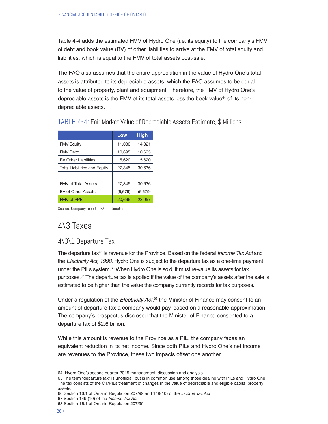Table 4-4 adds the estimated FMV of Hydro One (i.e. its equity) to the company's FMV of debt and book value (BV) of other liabilities to arrive at the FMV of total equity and liabilities, which is equal to the FMV of total assets post-sale.

The FAO also assumes that the entire appreciation in the value of Hydro One's total assets is attributed to its depreciable assets, which the FAO assumes to be equal to the value of property, plant and equipment. Therefore, the FMV of Hydro One's depreciable assets is the FMV of its total assets less the book value $64$  of its nondepreciable assets.

|                                     | Low     | <b>High</b> |
|-------------------------------------|---------|-------------|
| <b>FMV Equity</b>                   | 11,030  | 14,321      |
| <b>FMV Debt</b>                     | 10,695  | 10,695      |
| <b>BV Other Liabilities</b>         | 5,620   | 5,620       |
| <b>Total Liabilities and Equity</b> | 27,345  | 30,636      |
|                                     |         |             |
| <b>FMV of Total Assets</b>          | 27.345  | 30,636      |
| BV of Other Assets                  | (6,679) | (6,679)     |
| <b>FMV of PPE</b>                   | 20,666  | 23,957      |

TABLE 4-4: Fair Market Value of Depreciable Assets Estimate, \$ Millions

Source: Company reports, FAO estimates

# 4\3 Taxes

#### 4\3\1 Departure Tax

The departure tax<sup>65</sup> is revenue for the Province. Based on the federal *Income Tax Act* and the *Electricity Act, 1998*, Hydro One is subject to the departure tax as a one-time payment under the PILs system.<sup>66</sup> When Hydro One is sold, it must re-value its assets for tax purposes.<sup>67</sup> The departure tax is applied if the value of the company's assets after the sale is estimated to be higher than the value the company currently records for tax purposes.

Under a regulation of the Electricity Act,<sup>68</sup> the Minister of Finance may consent to an amount of departure tax a company would pay, based on a reasonable approximation. The company's prospectus disclosed that the Minister of Finance consented to a departure tax of \$2.6 billion.

While this amount is revenue to the Province as a PIL, the company faces an equivalent reduction in its net income. Since both PILs and Hydro One's net income are revenues to the Province, these two impacts offset one another.

65 The term "departure tax" is unofficial, but is in common use among those dealing with PILs and Hydro One. The tax consists of the CT/PILs treatment of changes in the value of depreciable and eligible capital property assets.

66 Section 16.1 of Ontario Regulation 207/99 and 149(10) of the *Income Tax Act* 67 Section 149 (10) of the *Income Tax Act*

<sup>64</sup> Hydro One's second quarter 2015 management, discussion and analysis.

<sup>68</sup> Section 16.1 of Ontario Regulation 207/99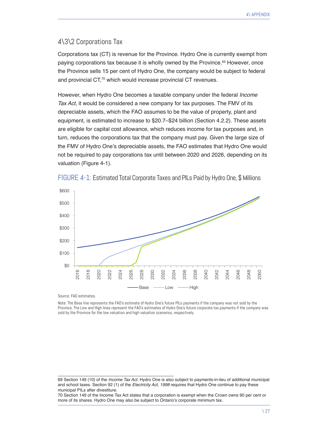#### 4\3\2 Corporations Tax

Corporations tax (CT) is revenue for the Province. Hydro One is currently exempt from paying corporations tax because it is wholly owned by the Province.<sup>69</sup> However, once the Province sells 15 per cent of Hydro One, the company would be subject to federal and provincial CT,<sup>70</sup> which would increase provincial CT revenues.

However, when Hydro One becomes a taxable company under the federal *Income Tax Act*, it would be considered a new company for tax purposes. The FMV of its depreciable assets, which the FAO assumes to be the value of property, plant and equipment, is estimated to increase to \$20.7–\$24 billion (Section 4.2.2). These assets are eligible for capital cost allowance, which reduces income for tax purposes and, in turn, reduces the corporations tax that the company must pay. Given the large size of the FMV of Hydro One's depreciable assets, the FAO estimates that Hydro One would not be required to pay corporations tax until between 2020 and 2026, depending on its valuation (Figure 4-1).





Source: FAO estimates.

Note: The Base line represents the FAO's estimate of Hydro One's future PILs payments if the company was not sold by the Province. The Low and High lines represent the FAO's estimates of Hydro One's future corporate tax payments if the company was sold by the Province for the low valuation and high valuation scenarios, respectively.

<sup>69</sup> Section 149 (10) of the *Income Tax Act*. Hydro One is also subject to payments-in-lieu of additional municipal and school taxes. Section 92 (1) of the Electricity Act, 1998 requires that Hydro One continue to pay these municipal PILs after divestiture.

<sup>70</sup> Section 149 of the Income Tax Act states that a corporation is exempt when the Crown owns 90 per cent or more of its shares. Hydro One may also be subject to Ontario's corporate minimum tax.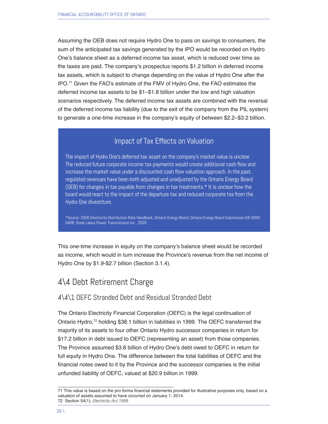Assuming the OEB does not require Hydro One to pass on savings to consumers, the sum of the anticipated tax savings generated by the IPO would be recorded on Hydro One's balance sheet as a deferred income tax asset, which is reduced over time as the taxes are paid. The company's prospectus reports \$1.2 billion in deferred income tax assets, which is subject to change depending on the value of Hydro One after the IPO.71 Given the FAO's estimate of the FMV of Hydro One, the FAO estimates the deferred income tax assets to be \$1–\$1.8 billion under the low and high valuation scenarios respectively. The deferred income tax assets are combined with the reversal of the deferred income tax liability (due to the exit of the company from the PIL system) to generate a one-time increase in the company's equity of between \$2.2–\$3.2 billion.

#### Impact of Tax Effects on Valuation

The impact of Hydro One's deferred tax asset on the company's market value is unclear. The reduced future corporate income tax payments would create additional cash flow and increase the market value under a discounted cash flow valuation approach. In the past, regulated revenues have been both adjusted and unadjusted by the Ontario Energy Board (OEB) for changes in tax payable from changes in tax treatments.\* It is unclear how the board would react to the impact of the departure tax and reduced corporate tax from the Hydro One divestiture.

\*Source: 2006 Electricity Distribution Rate Handbook, Ontario Energy Board; Ontario Energy Board Submission EB-2009- 0408, Great Lakes Power Transmission Inc., 2009

This one-time increase in equity on the company's balance sheet would be recorded as income, which would in turn increase the Province's revenue from the net income of Hydro One by \$1.9-\$2.7 billion (Section 3.1.4).

### 4\4 Debt Retirement Charge

#### 4\4\1 OEFC Stranded Debt and Residual Stranded Debt

The Ontario Electricity Financial Corporation (OEFC) is the legal continuation of Ontario Hydro,<sup>72</sup> holding \$38.1 billion in liabilities in 1999. The OEFC transferred the majority of its assets to four other Ontario Hydro successor companies in return for \$17.2 billion in debt issued to OEFC (representing an asset) from those companies. The Province assumed \$3.8 billion of Hydro One's debt owed to OEFC in return for full equity in Hydro One. The difference between the total liabilities of OEFC and the financial notes owed to it by the Province and the successor companies is the initial unfunded liability of OEFC, valued at \$20.9 billion in 1999.

<sup>71</sup> This value is based on the pro forma financial statements provided for illustrative purposes only, based on a valuation of assets assumed to have occurred on January 1, 2014. 72 Section 54(1), *Electricity Act,1998*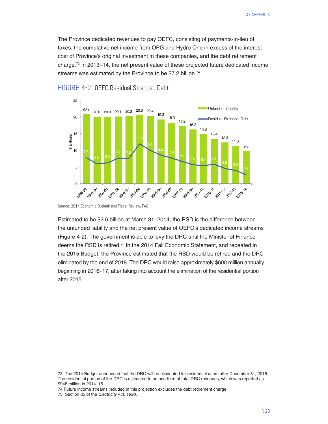The Province dedicated revenues to pay OEFC, consisting of payments-in-lieu of taxes, the cumulative net income from OPG and Hydro One in excess of the interest cost of Province's original investment in these companies, and the debt retirement charge.73 In 2013–14, the net present value of these projected future dedicated income streams was estimated by the Province to be \$7.2 billion.<sup>74</sup>



#### FIGURE 4-2: OEFC Residual Stranded Debt

Estimated to be \$2.6 billion at March 31, 2014, the RSD is the difference between the unfunded liability and the net present value of OEFC's dedicated income streams (Figure 4-2). The government is able to levy the DRC until the Minister of Finance deems the RSD is retired.<sup>75</sup> In the 2014 Fall Economic Statement, and repeated in the 2015 Budget, the Province estimated that the RSD would be retired and the DRC eliminated by the end of 2018. The DRC would raise approximately \$600 million annually beginning in 2016–17, after taking into account the elimination of the residential portion after 2015.

74 Future income streams included in this projection excludes the debt retirement charge.

Source: 2014 Economic Outlook and Fiscal Review, FAO

<sup>73</sup> The 2014 Budget announced that the DRC will be eliminated for residential users after December 31, 2015. The residential portion of the DRC is estimated to be one-third of total DRC revenues, which was reported as \$948 million in 2014–15.

<sup>75</sup> Section 85 of the Electricity Act, 1998.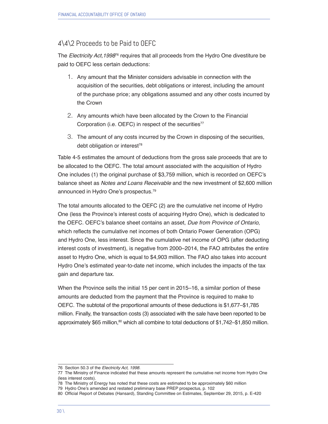#### 4\4\2 Proceeds to be Paid to OEFC

The Electricity Act, 1998<sup>76</sup> requires that all proceeds from the Hydro One divestiture be paid to OEFC less certain deductions:

- 1. Any amount that the Minister considers advisable in connection with the acquisition of the securities, debt obligations or interest, including the amount of the purchase price; any obligations assumed and any other costs incurred by the Crown
- 2. Any amounts which have been allocated by the Crown to the Financial Corporation (i.e. OEFC) in respect of the securities<sup>77</sup>
- 3. The amount of any costs incurred by the Crown in disposing of the securities, debt obligation or interest<sup>78</sup>

Table 4-5 estimates the amount of deductions from the gross sale proceeds that are to be allocated to the OEFC. The total amount associated with the acquisition of Hydro One includes (1) the original purchase of \$3,759 million, which is recorded on OEFC's balance sheet as *Notes and Loans Receivable* and the new investment of \$2,600 million announced in Hydro One's prospectus.79

The total amounts allocated to the OEFC (2) are the cumulative net income of Hydro One (less the Province's interest costs of acquiring Hydro One), which is dedicated to the OEFC. OEFC's balance sheet contains an asset, *Due from Province of Ontario*, which reflects the cumulative net incomes of both Ontario Power Generation (OPG) and Hydro One, less interest. Since the cumulative net income of OPG (after deducting interest costs of investment), is negative from 2000–2014, the FAO attributes the entire asset to Hydro One, which is equal to \$4,903 million. The FAO also takes into account Hydro One's estimated year-to-date net income, which includes the impacts of the tax gain and departure tax.

When the Province sells the initial 15 per cent in 2015–16, a similar portion of these amounts are deducted from the payment that the Province is required to make to OEFC. The subtotal of the proportional amounts of these deductions is \$1,677–\$1,785 million. Finally, the transaction costs (3) associated with the sale have been reported to be approximately \$65 million, $80$  which all combine to total deductions of \$1,742–\$1,850 million.

<sup>76</sup> Section 50.3 of the Electricity Act, 1998.

<sup>77</sup> The Ministry of Finance indicated that these amounts represent the cumulative net income from Hydro One (less interest costs).

<sup>78</sup> The Ministry of Energy has noted that these costs are estimated to be approximately \$60 million

<sup>79</sup> Hydro One's amended and restated preliminary base PREP prospectus, p. 102

<sup>80</sup> Official Report of Debates (Hansard), Standing Committee on Estimates, September 29, 2015, p. E-420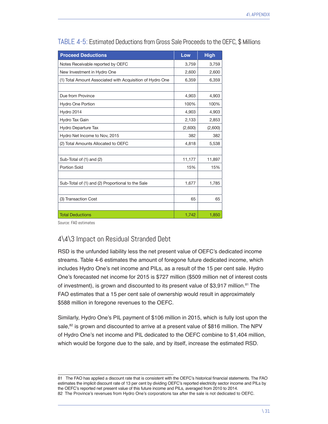| <b>Proceed Deductions</b>                                 | Low     | <b>High</b> |
|-----------------------------------------------------------|---------|-------------|
| Notes Receivable reported by OEFC                         | 3,759   | 3,759       |
| New Investment in Hydro One                               | 2,600   | 2,600       |
| (1) Total Amount Associated with Acquisition of Hydro One | 6,359   | 6,359       |
|                                                           |         |             |
| Due from Province                                         | 4,903   | 4,903       |
| <b>Hydro One Portion</b>                                  | 100%    | 100%        |
| Hydro 2014                                                | 4,903   | 4,903       |
| Hydro Tax Gain                                            | 2,133   | 2,853       |
| Hydro Departure Tax                                       | (2,600) | (2,600)     |
| Hydro Net Income to Nov, 2015                             | 382     | 382         |
| (2) Total Amounts Allocated to OEFC                       | 4,818   | 5,538       |
|                                                           |         |             |
| Sub-Total of (1) and (2)                                  | 11,177  | 11,897      |
| <b>Portion Sold</b>                                       | 15%     | 15%         |
|                                                           |         |             |
| Sub-Total of (1) and (2) Proportional to the Sale         | 1,677   | 1,785       |
|                                                           |         |             |
| (3) Transaction Cost                                      | 65      | 65          |
|                                                           |         |             |
| <b>Total Deductions</b>                                   | 1,742   | 1,850       |

TABLE 4-5: Estimated Deductions from Gross Sale Proceeds to the OEFC, \$ Millions

Source: FAO estimates

#### 4\4\3 Impact on Residual Stranded Debt

RSD is the unfunded liability less the net present value of OEFC's dedicated income streams. Table 4-6 estimates the amount of foregone future dedicated income, which includes Hydro One's net income and PILs, as a result of the 15 per cent sale. Hydro One's forecasted net income for 2015 is \$727 million (\$509 million net of interest costs of investment), is grown and discounted to its present value of \$3,917 million.<sup>81</sup> The FAO estimates that a 15 per cent sale of ownership would result in approximately \$588 million in foregone revenues to the OEFC.

Similarly, Hydro One's PIL payment of \$106 million in 2015, which is fully lost upon the sale, $82$  is grown and discounted to arrive at a present value of \$816 million. The NPV of Hydro One's net income and PIL dedicated to the OEFC combine to \$1,404 million, which would be forgone due to the sale, and by itself, increase the estimated RSD.

<sup>81</sup> The FAO has applied a discount rate that is consistent with the OEFC's historical financial statements. The FAO estimates the implicit discount rate of 13 per cent by dividing OEFC's reported electricity sector income and PILs by the OEFC's reported net present value of this future income and PILs, averaged from 2010 to 2014. 82 The Province's revenues from Hydro One's corporations tax after the sale is not dedicated to OEFC.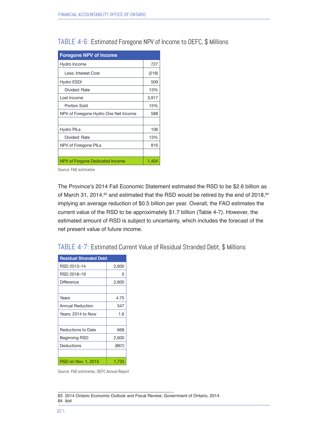#### TABLE 4-6: Estimated Foregone NPV of Income to OEFC, \$ Millions

| <b>Foregone NPV of Income</b>        |       |
|--------------------------------------|-------|
| Hydro Income                         | 727   |
| Less: Interest Cost                  | (218) |
| Hydro ESDI                           | 509   |
| Divided: Rate                        | 13%   |
| Lost Income                          | 3,917 |
| Portion Sold                         | 15%   |
| NPV of Foregone Hydro One Net Income | 588   |
|                                      |       |
| <b>Hydro PILs</b>                    | 106   |
| Divided: Rate                        | 13%   |
| NPV of Foregone PILs                 | 816   |
|                                      |       |
| NPV of Forgone Dedicated Income      | 1,404 |

Source: FAO estimates

The Province's 2014 Fall Economic Statement estimated the RSD to be \$2.6 billion as of March 31, 2014, $^{83}$  and estimated that the RSD would be retired by the end of 2018, $^{84}$ implying an average reduction of \$0.5 billion per year. Overall, the FAO estimates the current value of the RSD to be approximately \$1.7 billion (Table 4-7). However, the estimated amount of RSD is subject to uncertainty, which includes the forecast of the net present value of future income.

#### TABLE 4-7: Estimated Current Value of Residual Stranded Debt, \$ Millions

| <b>Residual Stranded Debt</b> |       |
|-------------------------------|-------|
| RSD 2013-14                   | 2,600 |
| RSD 2018-19                   | 0     |
| <b>Difference</b>             | 2,600 |
|                               |       |
| Years                         | 4.75  |
| Annual Reduction              | 547   |
| Years: 2014 to Now            | 1.6   |
|                               |       |
| <b>Reductions to Date</b>     | 668   |
| Beginning RSD                 | 2,600 |
| Deductions                    | (867) |
|                               |       |
| RSD on Nov. 1, 2015           | 1,733 |

Source: FAO estimates, OEFC Annual Report

83 2014 Ontario Economic Outlook and Fiscal Review, Government of Ontario, 2014. 84 ibid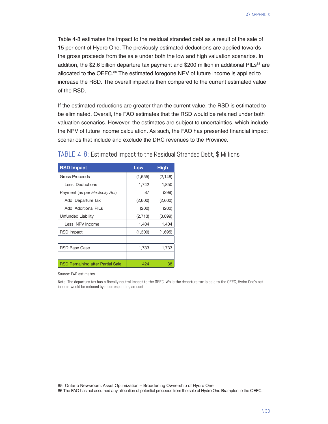Table 4-8 estimates the impact to the residual stranded debt as a result of the sale of 15 per cent of Hydro One. The previously estimated deductions are applied towards the gross proceeds from the sale under both the low and high valuation scenarios. In addition, the \$2.6 billion departure tax payment and \$200 million in additional PILs<sup>85</sup> are allocated to the OEFC.<sup>86</sup> The estimated foregone NPV of future income is applied to increase the RSD. The overall impact is then compared to the current estimated value of the RSD.

If the estimated reductions are greater than the current value, the RSD is estimated to be eliminated. Overall, the FAO estimates that the RSD would be retained under both valuation scenarios. However, the estimates are subject to uncertainties, which include the NPV of future income calculation. As such, the FAO has presented financial impact scenarios that include and exclude the DRC revenues to the Province.

| <b>RSD Impact</b>                       | Low     | <b>High</b> |
|-----------------------------------------|---------|-------------|
| Gross Proceeds                          | (1,655) | (2, 148)    |
| Less: Deductions                        | 1,742   | 1,850       |
| Payment (as per Electricity Act)        | 87      | (299)       |
| Add: Departure Tax                      | (2,600) | (2,600)     |
| <b>Add: Additional PILs</b>             | (200)   | (200)       |
| Unfunded Liability                      | (2,713) | (3,099)     |
| Less: NPV Income                        | 1,404   | 1,404       |
| RSD Impact                              | (1,309) | (1,695)     |
|                                         |         |             |
| RSD Base Case                           | 1,733   | 1,733       |
|                                         |         |             |
| <b>RSD Remaining after Partial Sale</b> | 424     | 38          |

#### TABLE 4-8: Estimated Impact to the Residual Stranded Debt, \$ Millions

Source: FAO estimates

Note: The departure tax has a fiscally neutral impact to the OEFC. While the departure tax is paid to the OEFC, Hydro One's net income would be reduced by a corresponding amount.

85 Ontario Newsroom: Asset Optimization – Broadening Ownership of Hydro One

86 The FAO has not assumed any allocation of potential proceeds from the sale of Hydro One Brampton to the OEFC.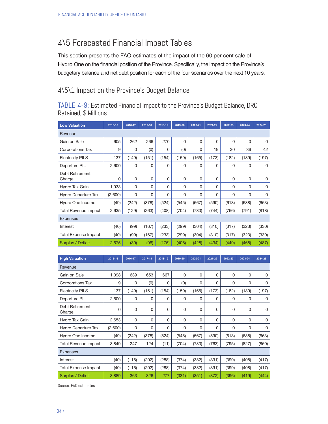# 4\5 Forecasted Financial Impact Tables

This section presents the FAO estimates of the impact of the 60 per cent sale of Hydro One on the financial position of the Province. Specifically, the impact on the Province's budgetary balance and net debt position for each of the four scenarios over the next 10 years.

#### 4\5\1 Impact on the Province's Budget Balance

TABLE 4-9: Estimated Financial Impact to the Province's Budget Balance, DRC Retained, \$ Millions

| <b>Low Valuation</b>      | 2015-16 | 2016-17 | 2017-18 | 2018-19 | 2019-20 | 2020-21 | 2021-22 | 2022-23 | 2023-24 | 2024-25     |  |  |
|---------------------------|---------|---------|---------|---------|---------|---------|---------|---------|---------|-------------|--|--|
| Revenue                   |         |         |         |         |         |         |         |         |         |             |  |  |
| Gain on Sale              | 605     | 262     | 266     | 270     | 0       | 0       | 0       | 0       | 0       | 0           |  |  |
| Corporations Tax          | 9       | 0       | (0)     | 0       | (0)     | 0       | 19      | 30      | 36      | 42          |  |  |
| <b>Electricity PILS</b>   | 137     | (149)   | (151)   | (154)   | (159)   | (165)   | (173)   | (182)   | (189)   | (197)       |  |  |
| Departure PIL             | 2,600   | 0       | 0       | 0       | 0       | 0       | 0       | 0       | 0       | 0           |  |  |
| Debt Retirement<br>Charge | 0       | 0       | 0       | 0       | 0       | 0       | 0       | 0       | 0       | $\mathbf 0$ |  |  |
| Hydro Tax Gain            | 1,933   | 0       | 0       | 0       | 0       | 0       | 0       | 0       | 0       | $\mathbf 0$ |  |  |
| Hydro Departure Tax       | (2,600) | 0       | 0       | 0       | 0       | 0       | 0       | 0       | 0       | 0           |  |  |
| Hydro One Income          | (49)    | (242)   | (378)   | (524)   | (545)   | (567)   | (590)   | (613)   | (638)   | (663)       |  |  |
| Total Revenue Impact      | 2,635   | (129)   | (263)   | (408)   | (704)   | (733)   | (744)   | (766)   | (791)   | (818)       |  |  |
| <b>Expenses</b>           |         |         |         |         |         |         |         |         |         |             |  |  |
| Interest                  | (40)    | (99)    | (167)   | (233)   | (299)   | (304)   | (310)   | (317)   | (323)   | (330)       |  |  |
| Total Expense Impact      | (40)    | (99)    | (167)   | (233)   | (299)   | (304)   | (310)   | (317)   | (323)   | (330)       |  |  |
| Surplus / Deficit         | 2,675   | (30)    | (96)    | (175)   | (406)   | (428)   | (434)   | (449)   | (468)   | (487)       |  |  |

| <b>High Valuation</b>       | 2015-16 | 2016-17 | 2017-18 | 2018-19 | 2019-20 | 2020-21     | 2021-22 | 2022-23 | 2023-24 | 2024-25     |  |  |
|-----------------------------|---------|---------|---------|---------|---------|-------------|---------|---------|---------|-------------|--|--|
| Revenue                     |         |         |         |         |         |             |         |         |         |             |  |  |
| Gain on Sale                | 1,098   | 639     | 653     | 667     | 0       | 0           | 0       | 0       | 0       | 0           |  |  |
| Corporations Tax            | 9       | 0       | (0)     | 0       | (0)     | 0           | 0       | 0       | 0       | $\Omega$    |  |  |
| <b>Electricity PILS</b>     | 137     | (149)   | (151)   | (154)   | (159)   | (165)       | (173)   | (182)   | (189)   | (197)       |  |  |
| Departure PIL               | 2,600   | 0       | 0       | 0       | 0       | 0           | 0       | 0       | 0       | 0           |  |  |
| Debt Retirement<br>Charge   | 0       | 0       | 0       | 0       | 0       | 0           | 0       | 0       | 0       | 0           |  |  |
| Hydro Tax Gain              | 2,653   | 0       | 0       | 0       | 0       | 0           | 0       | 0       | 0       | $\mathbf 0$ |  |  |
| Hydro Departure Tax         | (2,600) | 0       | 0       | 0       | 0       | $\mathbf 0$ | 0       | 0       | 0       | $\Omega$    |  |  |
| Hydro One Income            | (49)    | (242)   | (378)   | (524)   | (545)   | (567)       | (590)   | (613)   | (638)   | (663)       |  |  |
| <b>Total Revenue Impact</b> | 3,849   | 247     | 124     | (11)    | (704)   | (733)       | (763)   | (795)   | (827)   | (860)       |  |  |
| <b>Expenses</b>             |         |         |         |         |         |             |         |         |         |             |  |  |
| Interest                    | (40)    | (116)   | (202)   | (288)   | (374)   | (382)       | (391)   | (399)   | (408)   | (417)       |  |  |
| <b>Total Expense Impact</b> | (40)    | (116)   | (202)   | (288)   | (374)   | (382)       | (391)   | (399)   | (408)   | (417)       |  |  |
| Surplus / Deficit           | 3,889   | 363     | 326     | 277     | (331)   | (351)       | (372)   | (396)   | (419)   | (444)       |  |  |

Source: FAO estimates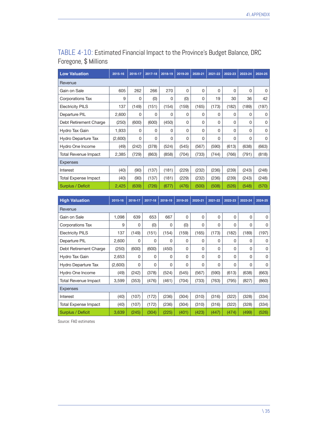| <b>Low Valuation</b>    | 2015-16 | 2016-17 | 2017-18 | 2018-19 | 2019-20  | 2020-21 | $2021 - 22$ | 2022-23 | 2023-24 | 2024-25 |
|-------------------------|---------|---------|---------|---------|----------|---------|-------------|---------|---------|---------|
| Revenue                 |         |         |         |         |          |         |             |         |         |         |
| Gain on Sale            | 605     | 262     | 266     | 270     | $\Omega$ | 0       | 0           | 0       | 0       | 0       |
| Corporations Tax        | 9       | 0       | (0)     | 0       | (0)      | 0       | 19          | 30      | 36      | 42      |
| <b>Electricity PILS</b> | 137     | (149)   | (151)   | (154)   | (159)    | (165)   | (173)       | (182)   | (189)   | (197)   |
| Departure PIL           | 2,600   | 0       | 0       | 0       | 0        | 0       | 0           | 0       | 0       | 0       |
| Debt Retirement Charge  | (250)   | (600)   | (600)   | (450)   | $\Omega$ | 0       | 0           | 0       | 0       | 0       |
| Hydro Tax Gain          | 1,933   | 0       | 0       | 0       | $\Omega$ | 0       | 0           | 0       | 0       | 0       |
| Hydro Departure Tax     | (2,600) | 0       | 0       | 0       | $\Omega$ | 0       | 0           | 0       | 0       | 0       |
| Hydro One Income        | (49)    | (242)   | (378)   | (524)   | (545)    | (567)   | (590)       | (613)   | (638)   | (663)   |
| Total Revenue Impact    | 2,385   | (729)   | (863)   | (858)   | (704)    | (733)   | (744)       | (766)   | (791)   | (818)   |
| <b>Expenses</b>         |         |         |         |         |          |         |             |         |         |         |
| Interest                | (40)    | (90)    | (137)   | (181)   | (229)    | (232)   | (236)       | (239)   | (243)   | (248)   |
| Total Expense Impact    | (40)    | (90)    | (137)   | (181)   | (229)    | (232)   | (236)       | (239)   | (243)   | (248)   |
| Surplus / Deficit       | 2,425   | (639)   | (726)   | (677)   | (476)    | (500)   | (508)       | (526)   | (548)   | (570)   |

#### TABLE 4-10: Estimated Financial Impact to the Province's Budget Balance, DRC Foregone, \$ Millions

| <b>High Valuation</b>       | 2015-16 | 2016-17 | 2017-18 | 2018-19 | 2019-20 | 2020-21 | 2021-22 | 2022-23  | 2023-24 | 2024-25 |  |
|-----------------------------|---------|---------|---------|---------|---------|---------|---------|----------|---------|---------|--|
| Revenue                     |         |         |         |         |         |         |         |          |         |         |  |
| Gain on Sale                | 1,098   | 639     | 653     | 667     | 0       | 0       | 0       | 0        | 0       | 0       |  |
| Corporations Tax            | 9       | 0       | (0)     | 0       | (0)     | 0       | 0       | 0        | 0       | 0       |  |
| <b>Electricity PILS</b>     | 137     | (149)   | (151)   | (154)   | (159)   | (165)   | (173)   | (182)    | (189)   | (197)   |  |
| Departure PIL               | 2,600   | 0       | 0       | 0       | 0       | 0       | 0       | 0        | 0       | 0       |  |
| Debt Retirement Charge      | (250)   | (600)   | (600)   | (450)   | 0       | 0       | 0       | 0        | 0       | 0       |  |
| Hydro Tax Gain              | 2,653   | 0       | 0       | 0       | 0       | 0       | 0       | 0        | 0       | 0       |  |
| Hydro Departure Tax         | (2,600) | 0       | 0       | 0       | 0       | 0       | 0       | $\Omega$ | 0       | 0       |  |
| Hydro One Income            | (49)    | (242)   | (378)   | (524)   | (545)   | (567)   | (590)   | (613)    | (638)   | (663)   |  |
| <b>Total Revenue Impact</b> | 3,599   | (353)   | (476)   | (461)   | (704)   | (733)   | (763)   | (795)    | (827)   | (860)   |  |
| <b>Expenses</b>             |         |         |         |         |         |         |         |          |         |         |  |
| Interest                    | (40)    | (107)   | (172)   | (236)   | (304)   | (310)   | (316)   | (322)    | (328)   | (334)   |  |
| <b>Total Expense Impact</b> | (40)    | (107)   | (172)   | (236)   | (304)   | (310)   | (316)   | (322)    | (328)   | (334)   |  |
| Surplus / Deficit           | 3,639   | (245)   | (304)   | (225)   | (401)   | (423)   | (447)   | (474)    | (499)   | (526)   |  |

Source: FAO estimates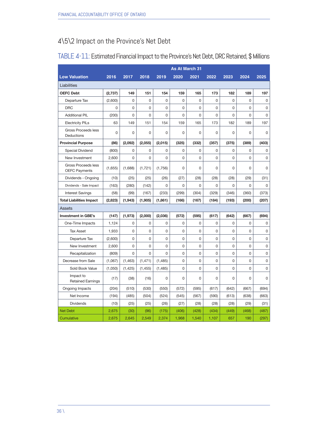### 4\5\2 Impact on the Province's Net Debt

|                                                    |         |          |          |             | <b>As At March 31</b> |       |             |             |          |       |
|----------------------------------------------------|---------|----------|----------|-------------|-----------------------|-------|-------------|-------------|----------|-------|
| <b>Low Valuation</b>                               | 2016    | 2017     | 2018     | 2019        | 2020                  | 2021  | 2022        | 2023        | 2024     | 2025  |
| Liabilities                                        |         |          |          |             |                       |       |             |             |          |       |
| <b>OEFC Debt</b>                                   | (2,737) | 149      | 151      | 154         | 159                   | 165   | 173         | 182         | 189      | 197   |
| Departure Tax                                      | (2,600) | 0        | 0        | $\mathbf 0$ | 0                     | 0     | $\Omega$    | $\Omega$    | 0        | 0     |
| <b>DRC</b>                                         | 0       | 0        | 0        | 0           | 0                     | 0     | 0           | 0           | 0        | 0     |
| <b>Additional PIL</b>                              | (200)   | 0        | 0        | $\mathbf 0$ | 0                     | 0     | 0           | 0           | 0        | 0     |
| <b>Electricity PILs</b>                            | 63      | 149      | 151      | 154         | 159                   | 165   | 173         | 182         | 189      | 197   |
| <b>Gross Proceeds less</b><br>Deductions           | 0       | 0        | 0        | 0           | 0                     | 0     | 0           | 0           | 0        | 0     |
| <b>Provincial Purpose</b>                          | (86)    | (2,092)  | (2,055)  | (2,015)     | (325)                 | (332) | (357)       | (375)       | (389)    | (403) |
| Special Dividend                                   | (800)   | 0        | 0        | 0           | 0                     | 0     | 0           | 0           | 0        | 0     |
| New Investment                                     | 2.600   | $\Omega$ | 0        | $\Omega$    | 0                     | 0     | $\Omega$    | $\Omega$    | $\Omega$ | 0     |
| <b>Gross Proceeds less</b><br><b>OEFC Payments</b> | (1,655) | (1,688)  | (1,721)  | (1,756)     | 0                     | 0     | 0           | 0           | 0        | 0     |
| Dividends - Ongoing                                | (10)    | (25)     | (25)     | (26)        | (27)                  | (28)  | (28)        | (28)        | (29)     | (31)  |
| Dividends - Sale Impact                            | (163)   | (280)    | (142)    | $\mathbf 0$ | 0                     | 0     | 0           | $\Omega$    | $\Omega$ | 0     |
| <b>Interest Savings</b>                            | (58)    | (99)     | (167)    | (233)       | (299)                 | (304) | (329)       | (346)       | (360)    | (373) |
| <b>Total Liabilities Impact</b>                    | (2,823) | (1, 943) | (1, 905) | (1,861)     | (166)                 | (167) | (184)       | (193)       | (200)    | (207) |
| Assets                                             |         |          |          |             |                       |       |             |             |          |       |
| <b>Investment in GBE's</b>                         | (147)   | (1, 973) | (2,000)  | (2,036)     | (572)                 | (595) | (617)       | (642)       | (667)    | (694) |
| One-Time Impacts                                   | 1,124   | 0        | 0        | 0           | 0                     | 0     | $\mathbf 0$ | $\mathbf 0$ | 0        | 0     |
| <b>Tax Asset</b>                                   | 1,933   | 0        | 0        | 0           | 0                     | 0     | 0           | $\Omega$    | $\Omega$ | 0     |
| Departure Tax                                      | (2,600) | 0        | 0        | 0           | 0                     | 0     | 0           | 0           | 0        | 0     |
| New Investment                                     | 2,600   | 0        | 0        | $\mathbf 0$ | 0                     | 0     | 0           | 0           | 0        | 0     |
| Recapitalization                                   | (809)   | 0        | 0        | 0           | 0                     | 0     | 0           | 0           | 0        | 0     |
| Decrease from Sale                                 | (1,067) | (1, 463) | (1, 471) | (1, 485)    | 0                     | 0     | 0           | 0           | $\Omega$ | 0     |
| Sold Book Value                                    | (1,050) | (1, 425) | (1, 455) | (1,485)     | 0                     | 0     | 0           | $\Omega$    | 0        | 0     |
| Impact to<br><b>Retained Earnings</b>              | (17)    | (38)     | (16)     | $\mathbf 0$ | 0                     | 0     | 0           | $\Omega$    | $\Omega$ | 0     |
| Ongoing Impacts                                    | (204)   | (510)    | (530)    | (550)       | (572)                 | (595) | (617)       | (642)       | (667)    | (694) |
| Net Income                                         | (194)   | (485)    | (504)    | (524)       | (545)                 | (567) | (590)       | (613)       | (638)    | (663) |
| <b>Dividends</b>                                   | (10)    | (25)     | (25)     | (26)        | (27)                  | (28)  | (28)        | (28)        | (29)     | (31)  |
| <b>Net Debt</b>                                    | 2,675   | (30)     | (96)     | (175)       | (406)                 | (428) | (434)       | (449)       | (468)    | (487) |
| Cumulative                                         | 2,675   | 2,645    | 2,549    | 2,374       | 1,968                 | 1,540 | 1,107       | 657         | 190      | (297) |

#### TABLE 4-11: Estimated Financial Impact to the Province's Net Debt, DRC Retained, \$ Millions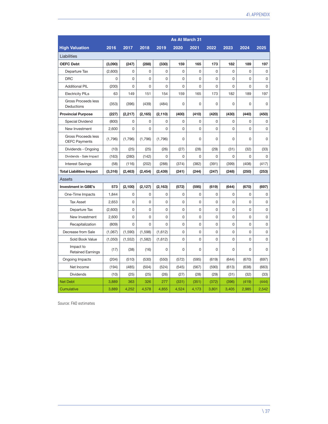|                                             | <b>As At March 31</b> |          |                |          |       |             |       |             |          |       |  |
|---------------------------------------------|-----------------------|----------|----------------|----------|-------|-------------|-------|-------------|----------|-------|--|
| <b>High Valuation</b>                       | 2016                  | 2017     | 2018           | 2019     | 2020  | 2021        | 2022  | 2023        | 2024     | 2025  |  |
| Liabilities                                 |                       |          |                |          |       |             |       |             |          |       |  |
| <b>OEFC Debt</b>                            | (3,090)               | (247)    | (288)          | (330)    | 159   | 165         | 173   | 182         | 189      | 197   |  |
| Departure Tax                               | (2,600)               | 0        | 0              | 0        | 0     | $\mathbf 0$ | 0     | 0           | 0        | 0     |  |
| <b>DRC</b>                                  | $\mathbf 0$           | 0        | $\overline{0}$ | 0        | 0     | $\mathbf 0$ | 0     | $\mathbf 0$ | 0        | 0     |  |
| <b>Additional PIL</b>                       | (200)                 | 0        | 0              | 0        | 0     | 0           | 0     | $\Omega$    | $\Omega$ | 0     |  |
| <b>Electricity PILs</b>                     | 63                    | 149      | 151            | 154      | 159   | 165         | 173   | 182         | 189      | 197   |  |
| Gross Proceeds less<br>Deductions           | (353)                 | (396)    | (439)          | (484)    | 0     | $\mathbf 0$ | 0     | $\mathbf 0$ | 0        | 0     |  |
| <b>Provincial Purpose</b>                   | (227)                 | (2, 217) | (2, 165)       | (2, 110) | (400) | (410)       | (420) | (430)       | (440)    | (450) |  |
| Special Dividend                            | (800)                 | 0        | 0              | 0        | 0     | 0           | 0     | 0           | 0        | 0     |  |
| New Investment                              | 2,600                 | 0        | 0              | 0        | 0     | 0           | 0     | $\Omega$    | $\Omega$ | 0     |  |
| Gross Proceeds less<br><b>OEFC Payments</b> | (1,796)               | (1,796)  | (1,796)        | (1,796)  | 0     | 0           | 0     | $\mathbf 0$ | $\Omega$ | 0     |  |
| Dividends - Ongoing                         | (10)                  | (25)     | (25)           | (26)     | (27)  | (28)        | (29)  | (31)        | (32)     | (33)  |  |
| Dividends - Sale Impact                     | (163)                 | (280)    | (142)          | 0        | 0     | 0           | 0     | $\Omega$    | 0        | 0     |  |
| <b>Interest Savings</b>                     | (58)                  | (116)    | (202)          | (288)    | (374) | (382)       | (391) | (399)       | (408)    | (417) |  |
| <b>Total Liabilities Impact</b>             | (3,316)               | (2, 463) | (2, 454)       | (2, 439) | (241) | (244)       | (247) | (248)       | (250)    | (253) |  |
| Assets                                      |                       |          |                |          |       |             |       |             |          |       |  |
| <b>Investment in GBE's</b>                  | 573                   | (2, 100) | (2, 127)       | (2, 163) | (572) | (595)       | (619) | (644)       | (670)    | (697) |  |
| One-Time Impacts                            | 1,844                 | 0        | 0              | 0        | 0     | $\mathbf 0$ | 0     | $\mathbf 0$ | 0        | 0     |  |
| <b>Tax Asset</b>                            | 2,653                 | 0        | 0              | 0        | 0     | $\mathbf 0$ | 0     | $\Omega$    | 0        | 0     |  |
| Departure Tax                               | (2,600)               | 0        | 0              | 0        | 0     | 0           | 0     | 0           | 0        | 0     |  |
| New Investment                              | 2,600                 | 0        | 0              | 0        | 0     | $\mathbf 0$ | 0     | $\mathbf 0$ | 0        | 0     |  |
| Recapitalization                            | (809)                 | 0        | $\Omega$       | 0        | 0     | $\mathbf 0$ | 0     | $\Omega$    | $\Omega$ | 0     |  |
| Decrease from Sale                          | (1,067)               | (1,590)  | (1,598)        | (1,612)  | 0     | 0           | 0     | $\Omega$    | $\Omega$ | 0     |  |
| Sold Book Value                             | (1,050)               | (1, 552) | (1, 582)       | (1,612)  | 0     | 0           | 0     | $\mathbf 0$ | 0        | 0     |  |
| Impact to<br><b>Retained Earnings</b>       | (17)                  | (38)     | (16)           | 0        | 0     | 0           | 0     | 0           | 0        | 0     |  |
| Ongoing Impacts                             | (204)                 | (510)    | (530)          | (550)    | (572) | (595)       | (619) | (644)       | (670)    | (697) |  |
| Net Income                                  | (194)                 | (485)    | (504)          | (524)    | (545) | (567)       | (590) | (613)       | (638)    | (663) |  |
| <b>Dividends</b>                            | (10)                  | (25)     | (25)           | (26)     | (27)  | (28)        | (29)  | (31)        | (32)     | (33)  |  |
| <b>Net Debt</b>                             | 3,889                 | 363      | 326            | 277      | (331) | (351)       | (372) | (396)       | (419)    | (444) |  |
| Cumulative                                  | 3.889                 | 4.252    | 4.578          | 4.855    | 4,524 | 4.173       | 3.801 | 3.405       | 2.985    | 2.542 |  |

Source: FAO estimates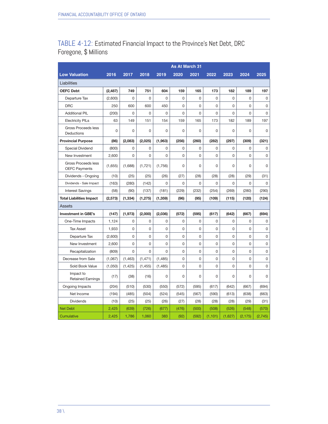### TABLE 4-12: Estimated Financial Impact to the Province's Net Debt, DRC Foregone, \$ Millions

|                                             |          |          |          |          | <b>As At March 31</b> |       |          |             |          |         |
|---------------------------------------------|----------|----------|----------|----------|-----------------------|-------|----------|-------------|----------|---------|
| <b>Low Valuation</b>                        | 2016     | 2017     | 2018     | 2019     | 2020                  | 2021  | 2022     | 2023        | 2024     | 2025    |
| Liabilities                                 |          |          |          |          |                       |       |          |             |          |         |
| <b>OEFC Debt</b>                            | (2, 487) | 749      | 751      | 604      | 159                   | 165   | 173      | 182         | 189      | 197     |
| Departure Tax                               | (2,600)  | 0        | 0        | 0        | 0                     | 0     | 0        | $\mathbf 0$ | 0        | 0       |
| <b>DRC</b>                                  | 250      | 600      | 600      | 450      | 0                     | 0     | 0        | $\mathbf 0$ | 0        | 0       |
| <b>Additional PIL</b>                       | (200)    | 0        | 0        | 0        | 0                     | 0     | 0        | $\Omega$    | $\Omega$ | 0       |
| <b>Electricity PILs</b>                     | 63       | 149      | 151      | 154      | 159                   | 165   | 173      | 182         | 189      | 197     |
| <b>Gross Proceeds less</b><br>Deductions    | 0        | 0        | 0        | 0        | 0                     | 0     | 0        | $\mathbf 0$ | 0        | 0       |
| <b>Provincial Purpose</b>                   | (86)     | (2,083)  | (2,025)  | (1,963)  | (256)                 | (260) | (282)    | (297)       | (309)    | (321)   |
| Special Dividend                            | (800)    | 0        | 0        | 0        | 0                     | 0     | 0        | 0           | 0        | 0       |
| New Investment                              | 2,600    | 0        | 0        | 0        | 0                     | 0     | 0        | $\mathbf 0$ | 0        | 0       |
| Gross Proceeds less<br><b>OEFC Payments</b> | (1,655)  | (1,688)  | (1,721)  | (1,756)  | 0                     | 0     | 0        | $\Omega$    | $\Omega$ | 0       |
| Dividends - Ongoing                         | (10)     | (25)     | (25)     | (26)     | (27)                  | (28)  | (28)     | (28)        | (29)     | (31)    |
| Dividends - Sale Impact                     | (163)    | (280)    | (142)    | 0        | 0                     | 0     | 0        | 0           | 0        | 0       |
| <b>Interest Savings</b>                     | (58)     | (90)     | (137)    | (181)    | (229)                 | (232) | (254)    | (269)       | (280)    | (290)   |
| <b>Total Liabilities Impact</b>             | (2,573)  | (1, 334) | (1, 275) | (1, 359) | (96)                  | (95)  | (109)    | (115)       | (120)    | (124)   |
| Assets                                      |          |          |          |          |                       |       |          |             |          |         |
| <b>Investment in GBE's</b>                  | (147)    | (1, 973) | (2,000)  | (2,036)  | (572)                 | (595) | (617)    | (642)       | (667)    | (694)   |
| One-Time Impacts                            | 1,124    | 0        | 0        | 0        | 0                     | 0     | 0        | $\mathbf 0$ | 0        | 0       |
| <b>Tax Asset</b>                            | 1,933    | 0        | 0        | 0        | 0                     | 0     | 0        | $\mathbf 0$ | 0        | 0       |
| Departure Tax                               | (2,600)  | 0        | 0        | 0        | 0                     | 0     | 0        | $\mathbf 0$ | 0        | 0       |
| New Investment                              | 2,600    | 0        | 0        | 0        | 0                     | 0     | 0        | $\mathbf 0$ | $\Omega$ | 0       |
| Recapitalization                            | (809)    | 0        | 0        | 0        | 0                     | 0     | 0        | $\mathbf 0$ | 0        | 0       |
| Decrease from Sale                          | (1,067)  | (1, 463) | (1, 471) | (1,485)  | 0                     | 0     | 0        | $\mathbf 0$ | 0        | 0       |
| Sold Book Value                             | (1,050)  | (1, 425) | (1, 455) | (1, 485) | 0                     | 0     | 0        | $\mathbf 0$ | 0        | 0       |
| Impact to<br><b>Retained Earnings</b>       | (17)     | (38)     | (16)     | 0        | 0                     | 0     | 0        | $\Omega$    | 0        | 0       |
| Ongoing Impacts                             | (204)    | (510)    | (530)    | (550)    | (572)                 | (595) | (617)    | (642)       | (667)    | (694)   |
| Net Income                                  | (194)    | (485)    | (504)    | (524)    | (545)                 | (567) | (590)    | (613)       | (638)    | (663)   |
| <b>Dividends</b>                            | (10)     | (25)     | (25)     | (26)     | (27)                  | (28)  | (28)     | (28)        | (29)     | (31)    |
| <b>Net Debt</b>                             | 2.425    | (639)    | (726)    | (677)    | (476)                 | (500) | (508)    | (526)       | (548)    | (570)   |
| Cumulative                                  | 2,425    | 1,786    | 1,060    | 383      | (92)                  | (592) | (1, 101) | (1,627)     | (2, 175) | (2,745) |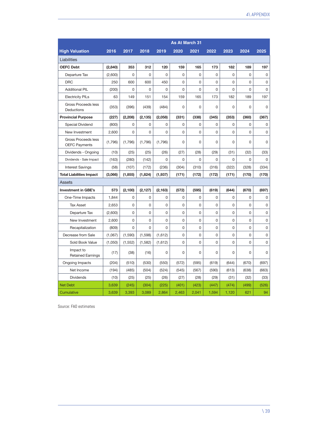|                                             | <b>As At March 31</b> |          |          |             |             |       |          |          |                |       |  |  |
|---------------------------------------------|-----------------------|----------|----------|-------------|-------------|-------|----------|----------|----------------|-------|--|--|
| <b>High Valuation</b>                       | 2016                  | 2017     | 2018     | 2019        | 2020        | 2021  | 2022     | 2023     | 2024           | 2025  |  |  |
| Liabilities                                 |                       |          |          |             |             |       |          |          |                |       |  |  |
| <b>OEFC Debt</b>                            | (2,840)               | 353      | 312      | 120         | 159         | 165   | 173      | 182      | 189            | 197   |  |  |
| Departure Tax                               | (2,600)               | 0        | 0        | 0           | 0           | 0     | 0        | 0        | 0              | 0     |  |  |
| <b>DRC</b>                                  | 250                   | 600      | 600      | 450         | 0           | 0     | 0        | 0        | 0              | 0     |  |  |
| <b>Additional PIL</b>                       | (200)                 | 0        | 0        | $\mathbf 0$ | 0           | 0     | 0        | 0        | $\overline{0}$ | 0     |  |  |
| <b>Electricity PILs</b>                     | 63                    | 149      | 151      | 154         | 159         | 165   | 173      | 182      | 189            | 197   |  |  |
| Gross Proceeds less<br>Deductions           | (353)                 | (396)    | (439)    | (484)       | $\mathbf 0$ | 0     | 0        | $\Omega$ | 0              | 0     |  |  |
| <b>Provincial Purpose</b>                   | (227)                 | (2, 208) | (2, 135) | (2,058)     | (331)       | (338) | (345)    | (353)    | (360)          | (367) |  |  |
| Special Dividend                            | (800)                 | 0        | 0        | 0           | 0           | 0     | 0        | 0        | 0              | 0     |  |  |
| New Investment                              | 2,600                 | 0        | 0        | 0           | 0           | 0     | 0        | 0        | 0              | 0     |  |  |
| Gross Proceeds less<br><b>OEFC Payments</b> | (1,796)               | (1,796)  | (1,796)  | (1,796)     | 0           | 0     | 0        | 0        | 0              | 0     |  |  |
| Dividends - Ongoing                         | (10)                  | (25)     | (25)     | (26)        | (27)        | (28)  | (29)     | (31)     | (32)           | (33)  |  |  |
| Dividends - Sale Impact                     | (163)                 | (280)    | (142)    | 0           | 0           | 0     | 0        | 0        | 0              | 0     |  |  |
| <b>Interest Savings</b>                     | (58)                  | (107)    | (172)    | (236)       | (304)       | (310) | (316)    | (322)    | (328)          | (334) |  |  |
| <b>Total Liabilities Impact</b>             | (3,066)               | (1, 855) | (1,824)  | (1,937)     | (171)       | (172) | (172)    | (171)    | (170)          | (170) |  |  |
| <b>Assets</b>                               |                       |          |          |             |             |       |          |          |                |       |  |  |
| <b>Investment in GBE's</b>                  | 573                   | (2, 100) | (2, 127) | (2, 163)    | (572)       | (595) | (619)    | (644)    | (670)          | (697) |  |  |
| One-Time Impacts                            | 1,844                 | 0        | 0        | $\mathbf 0$ | 0           | 0     | 0        | 0        | $\Omega$       | 0     |  |  |
| <b>Tax Asset</b>                            | 2,653                 | 0        | 0        | 0           | 0           | 0     | 0        | 0        | $\Omega$       | 0     |  |  |
| Departure Tax                               | (2,600)               | 0        | 0        | 0           | 0           | 0     | 0        | 0        | 0              | 0     |  |  |
| New Investment                              | 2,600                 | 0        | 0        | 0           | 0           | 0     | 0        | 0        | 0              | 0     |  |  |
| Recapitalization                            | (809)                 | 0        | 0        | 0           | 0           | 0     | 0        | 0        | 0              | 0     |  |  |
| Decrease from Sale                          | (1,067)               | (1,590)  | (1,598)  | (1,612)     | 0           | 0     | $\Omega$ | 0        | $\Omega$       | 0     |  |  |
| Sold Book Value                             | (1,050)               | (1, 552) | (1, 582) | (1,612)     | 0           | 0     | 0        | 0        | $\overline{0}$ | 0     |  |  |
| Impact to<br><b>Retained Earnings</b>       | (17)                  | (38)     | (16)     | 0           | 0           | 0     | 0        | 0        | 0              | 0     |  |  |
| Ongoing Impacts                             | (204)                 | (510)    | (530)    | (550)       | (572)       | (595) | (619)    | (644)    | (670)          | (697) |  |  |
| Net Income                                  | (194)                 | (485)    | (504)    | (524)       | (545)       | (567) | (590)    | (613)    | (638)          | (663) |  |  |
| <b>Dividends</b>                            | (10)                  | (25)     | (25)     | (26)        | (27)        | (28)  | (29)     | (31)     | (32)           | (33)  |  |  |
| <b>Net Debt</b>                             | 3,639                 | (245)    | (304)    | (225)       | (401)       | (423) | (447)    | (474)    | (499)          | (526) |  |  |
| Cumulative                                  | 3.639                 | 3.393    | 3,089    | 2.864       | 2.463       | 2.041 | 1,594    | 1,120    | 621            | 94    |  |  |

Source: FAO estimates